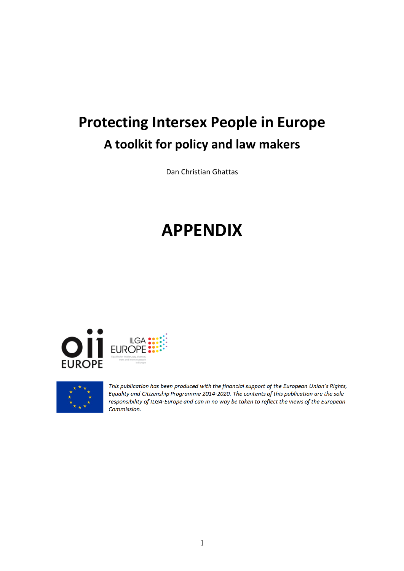# **Protecting Intersex People in Europe A** toolkit for policy and law makers

Dan Christian Ghattas

# **APPENDIX**





This publication has been produced with the financial support of the European Union's Rights, Equality and Citizenship Programme 2014-2020. The contents of this publication are the sole responsibility of ILGA-Europe and can in no way be taken to reflect the views of the European Commission.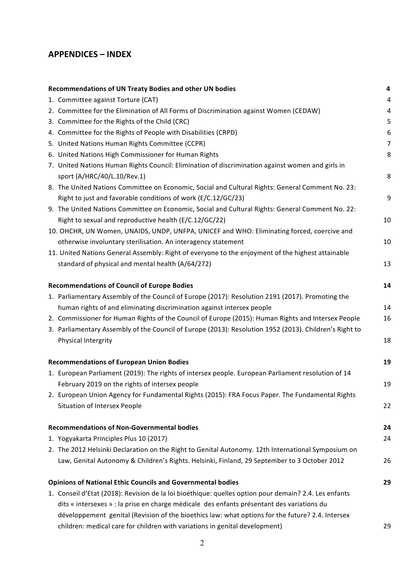# **APPENDICES – INDEX**

| <b>Recommendations of UN Treaty Bodies and other UN bodies</b>                                         | 4              |
|--------------------------------------------------------------------------------------------------------|----------------|
| 1. Committee against Torture (CAT)                                                                     | 4              |
| 2. Committee for the Elimination of All Forms of Discrimination against Women (CEDAW)                  | 4              |
| 3. Committee for the Rights of the Child (CRC)                                                         | 5              |
| 4. Committee for the Rights of People with Disabilities (CRPD)                                         | 6              |
| 5. United Nations Human Rights Committee (CCPR)                                                        | $\overline{7}$ |
| 6. United Nations High Commissioner for Human Rights                                                   | 8              |
| 7. United Nations Human Rights Council: Elimination of discrimination against women and girls in       |                |
| sport (A/HRC/40/L.10/Rev.1)                                                                            | 8              |
| 8. The United Nations Committee on Economic, Social and Cultural Rights: General Comment No. 23:       |                |
| Right to just and favorable conditions of work (E/C.12/GC/23)                                          | 9              |
| 9. The United Nations Committee on Economic, Social and Cultural Rights: General Comment No. 22:       |                |
| Right to sexual and reproductive health (E/C.12/GC/22)                                                 | 10             |
| 10. OHCHR, UN Women, UNAIDS, UNDP, UNFPA, UNICEF and WHO: Eliminating forced, coercive and             |                |
| otherwise involuntary sterilisation. An interagency statement                                          | 10             |
| 11. United Nations General Assembly: Right of everyone to the enjoyment of the highest attainable      |                |
| standard of physical and mental health (A/64/272)                                                      | 13             |
| <b>Recommendations of Council of Europe Bodies</b>                                                     | 14             |
| 1. Parliamentary Assembly of the Council of Europe (2017): Resolution 2191 (2017). Promoting the       |                |
| human rights of and eliminating discrimination against intersex people                                 | 14             |
| 2. Commissioner for Human Rights of the Council of Europe (2015): Human Rights and Intersex People     | 16             |
| 3. Parliamentary Assembly of the Council of Europe (2013): Resolution 1952 (2013). Children's Right to |                |
| Physical Intergrity                                                                                    | 18             |
| <b>Recommendations of European Union Bodies</b>                                                        | 19             |
| 1. European Parliament (2019): The rights of intersex people. European Parliament resolution of 14     |                |
| February 2019 on the rights of intersex people                                                         | 19             |
| 2. European Union Agency for Fundamental Rights (2015): FRA Focus Paper. The Fundamental Rights        |                |
| Situation of Intersex People                                                                           | 22             |
|                                                                                                        |                |
| <b>Recommendations of Non-Governmental bodies</b>                                                      | 24             |
| 1. Yogyakarta Principles Plus 10 (2017)                                                                | 24             |
| 2. The 2012 Helsinki Declaration on the Right to Genital Autonomy. 12th International Symposium on     |                |
| Law, Genital Autonomy & Children's Rights. Helsinki, Finland, 29 September to 3 October 2012           | 26             |
| <b>Opinions of National Ethic Councils and Governmental bodies</b>                                     | 29             |
| 1. Conseil d'Etat (2018): Revision de la loi bioéthique: quelles option pour demain? 2.4. Les enfants  |                |
| dits « intersexes » : la prise en charge médicale des enfants présentant des variations du             |                |
| développement genital (Revision of the bioethics law: what options for the future? 2.4. Intersex       |                |
| children: medical care for children with variations in genital development)                            | 29             |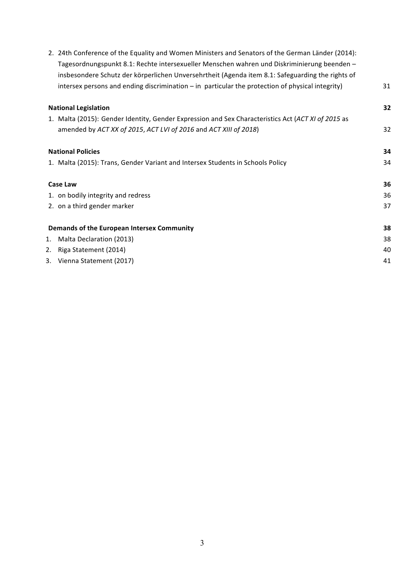|                             | 2. 24th Conference of the Equality and Women Ministers and Senators of the German Länder (2014):<br>Tagesordnungspunkt 8.1: Rechte intersexueller Menschen wahren und Diskriminierung beenden -<br>insbesondere Schutz der körperlichen Unversehrtheit (Agenda item 8.1: Safeguarding the rights of |          |  |
|-----------------------------|-----------------------------------------------------------------------------------------------------------------------------------------------------------------------------------------------------------------------------------------------------------------------------------------------------|----------|--|
|                             | intersex persons and ending discrimination $-$ in particular the protection of physical integrity)                                                                                                                                                                                                  | 31       |  |
| <b>National Legislation</b> |                                                                                                                                                                                                                                                                                                     |          |  |
|                             | 1. Malta (2015): Gender Identity, Gender Expression and Sex Characteristics Act (ACT XI of 2015 as                                                                                                                                                                                                  |          |  |
|                             | amended by ACT XX of 2015, ACT LVI of 2016 and ACT XIII of 2018)                                                                                                                                                                                                                                    | 32       |  |
| <b>National Policies</b>    |                                                                                                                                                                                                                                                                                                     |          |  |
|                             | 1. Malta (2015): Trans, Gender Variant and Intersex Students in Schools Policy                                                                                                                                                                                                                      | 34<br>34 |  |
|                             |                                                                                                                                                                                                                                                                                                     |          |  |
|                             | Case Law                                                                                                                                                                                                                                                                                            |          |  |
|                             | 1. on bodily integrity and redress                                                                                                                                                                                                                                                                  | 36       |  |
|                             | 2. on a third gender marker                                                                                                                                                                                                                                                                         | 37       |  |
|                             |                                                                                                                                                                                                                                                                                                     |          |  |
|                             | Demands of the European Intersex Community                                                                                                                                                                                                                                                          | 38       |  |
|                             | 1. Malta Declaration (2013)                                                                                                                                                                                                                                                                         | 38       |  |
|                             | 2. Riga Statement (2014)                                                                                                                                                                                                                                                                            | 40       |  |
|                             | 3. Vienna Statement (2017)                                                                                                                                                                                                                                                                          | 41       |  |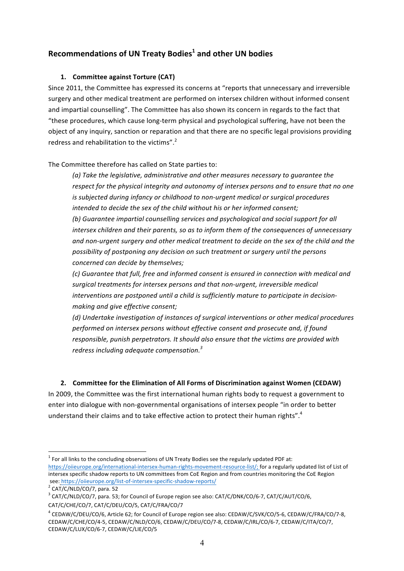# **Recommendations of UN Treaty Bodies1 and other UN bodies**

# 1. **Committee against Torture (CAT)**

Since 2011, the Committee has expressed its concerns at "reports that unnecessary and irreversible surgery and other medical treatment are performed on intersex children without informed consent and impartial counselling". The Committee has also shown its concern in regards to the fact that "these procedures, which cause long-term physical and psychological suffering, have not been the object of any inquiry, sanction or reparation and that there are no specific legal provisions providing redress and rehabilitation to the victims". $2$ 

The Committee therefore has called on State parties to:

(a) Take the legislative, administrative and other measures necessary to quarantee the respect for the physical integrity and autonomy of intersex persons and to ensure that no one *is* subjected during infancy or childhood to non-urgent medical or surgical procedures intended to decide the sex of the child without his or her informed consent; (b) Guarantee impartial counselling services and psychological and social support for all intersex children and their parents, so as to inform them of the consequences of unnecessary and non-urgent surgery and other medical treatment to decide on the sex of the child and the possibility of postponing any decision on such treatment or surgery until the persons concerned can decide by themselves;

*(c) Guarantee that full, free and informed consent is ensured in connection with medical and*  surgical treatments for intersex persons and that non-urgent, irreversible medical interventions are postponed until a child is sufficiently mature to participate in decisionmaking and give effective consent;

(d) Undertake investigation of instances of surgical interventions or other medical procedures performed on intersex persons without effective consent and prosecute and, if found responsible, punish perpetrators. It should also ensure that the victims are provided with *redress including adequate compensation.*<sup>3</sup>

**2.** Committee for the Elimination of All Forms of Discrimination against Women (CEDAW) In 2009, the Committee was the first international human rights body to request a government to enter into dialogue with non-governmental organisations of intersex people "in order to better understand their claims and to take effective action to protect their human rights".<sup>4</sup>

 $<sup>1</sup>$  For all links to the concluding observations of UN Treaty Bodies see the regularly updated PDF at:</sup> https://oiieurope.org/international-intersex-human-rights-movement-resource-list/; for a regularly updated list of List of intersex specific shadow reports to UN committees from CoE Region and from countries monitoring the CoE Region see: https://oiieurope.org/list-of-intersex-specific-shadow-reports/<br><sup>2</sup> CAT/C/NLD/CO/7, para. 52<br><sup>3</sup> CAT/C/NLD/CO/7, para. 53; for Council of Europe region see also: CAT/C/DNK/CO/6-7, CAT/C/AUT/CO/6,

CAT/C/CHE/CO/7, CAT/C/DEU/CO/5, CAT/C/FRA/CO/7

 $^4$  CEDAW/C/DEU/CO/6, Article 62; for Council of Europe region see also: CEDAW/C/SVK/CO/5-6, CEDAW/C/FRA/CO/7-8, CEDAW/C/CHE/CO/4-5, CEDAW/C/NLD/CO/6, CEDAW/C/DEU/CO/7-8, CEDAW/C/IRL/CO/6-7, CEDAW/C/ITA/CO/7, CEDAW/C/LUX/CO/6-7, CEDAW/C/LIE/CO/5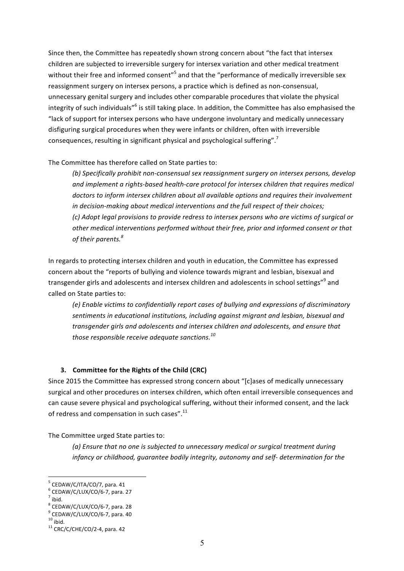Since then, the Committee has repeatedly shown strong concern about "the fact that intersex children are subjected to irreversible surgery for intersex variation and other medical treatment without their free and informed consent"<sup>5</sup> and that the "performance of medically irreversible sex reassignment surgery on intersex persons, a practice which is defined as non-consensual, unnecessary genital surgery and includes other comparable procedures that violate the physical integrity of such individuals"<sup>6</sup> is still taking place. In addition, the Committee has also emphasised the "lack of support for intersex persons who have undergone involuntary and medically unnecessary disfiguring surgical procedures when they were infants or children, often with irreversible consequences, resulting in significant physical and psychological suffering".<sup>7</sup>

The Committee has therefore called on State parties to:

(b) Specifically prohibit non-consensual sex reassignment surgery on intersex persons, develop and implement a rights-based health-care protocol for intersex children that requires medical doctors to inform intersex children about all available options and requires their involvement in decision-making about medical interventions and the full respect of their choices; *(c)* Adopt legal provisions to provide redress to intersex persons who are victims of surgical or other medical interventions performed without their free, prior and informed consent or that *of their parents.<sup>8</sup>*

In regards to protecting intersex children and youth in education, the Committee has expressed concern about the "reports of bullying and violence towards migrant and lesbian, bisexual and transgender girls and adolescents and intersex children and adolescents in school settings"<sup>9</sup> and called on State parties to:

*(e)* Enable victims to confidentially report cases of bullying and expressions of discriminatory sentiments in educational institutions, including against migrant and lesbian, bisexual and transgender girls and adolescents and intersex children and adolescents, and ensure that *those responsible receive adequate sanctions.<sup>10</sup>*

## **3.** Committee for the Rights of the Child (CRC)

Since 2015 the Committee has expressed strong concern about "[c]ases of medically unnecessary surgical and other procedures on intersex children, which often entail irreversible consequences and can cause severe physical and psychological suffering, without their informed consent, and the lack of redress and compensation in such cases".<sup>11</sup>

The Committee urged State parties to:

(a) Ensure that no one is subjected to unnecessary medical or surgical treatment during *infancy* or childhood, quarantee bodily integrity, autonomy and self- determination for the

 $^5$  CEDAW/C/ITA/CO/7, para. 41<br> $^6$  CEDAW/C/LUX/CO/6-7, para. 27<br><sup>7</sup> ibid.

 $^8$  CEDAW/C/LUX/CO/6-7, para. 28<br> $^9$  CEDAW/C/LUX/CO/6-7, para. 40<br> $^{10}$  ibid.  $^{11}$  CRC/C/CHE/CO/2-4, para. 42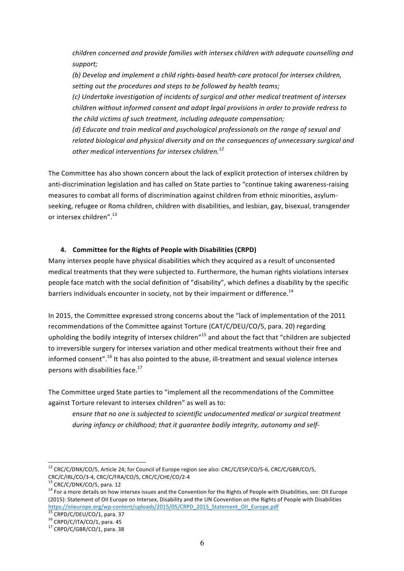*children concerned and provide families with intersex children with adequate counselling and support;* 

(b) Develop and implement a child rights-based health-care protocol for intersex children, setting out the procedures and steps to be followed by health teams;

(c) Undertake investigation of incidents of surgical and other medical treatment of intersex *children* without informed consent and adopt legal provisions in order to provide redress to the child victims of such treatment, including adequate compensation;

(d) Educate and train medical and psychological professionals on the range of sexual and related biological and physical diversity and on the consequences of unnecessary surgical and other medical interventions for intersex children.<sup>12</sup>

The Committee has also shown concern about the lack of explicit protection of intersex children by anti-discrimination legislation and has called on State parties to "continue taking awareness-raising measures to combat all forms of discrimination against children from ethnic minorities, asylumseeking, refugee or Roma children, children with disabilities, and lesbian, gay, bisexual, transgender or intersex children".<sup>13</sup>

# **4. Committee for the Rights of People with Disabilities (CRPD)**

Many intersex people have physical disabilities which they acquired as a result of unconsented medical treatments that they were subjected to. Furthermore, the human rights violations intersex people face match with the social definition of "disability", which defines a disability by the specific barriers individuals encounter in society, not by their impairment or difference.<sup>14</sup>

In 2015, the Committee expressed strong concerns about the "lack of implementation of the 2011 recommendations of the Committee against Torture (CAT/C/DEU/CO/5, para. 20) regarding upholding the bodily integrity of intersex children"<sup>15</sup> and about the fact that "children are subjected to irreversible surgery for intersex variation and other medical treatments without their free and informed consent".<sup>16</sup> It has also pointed to the abuse, ill-treatment and sexual violence intersex persons with disabilities face.<sup>17</sup>

The Committee urged State parties to "implement all the recommendations of the Committee against Torture relevant to intersex children" as well as to:

ensure that no one is subjected to scientific undocumented medical or surgical treatment during infancy or childhood; that it guarantee bodily integrity, autonomy and self-

 $^{12}$  CRC/C/DNK/CO/5, Article 24; for Council of Europe region see also: CRC/C/ESP/CO/5-6, CRC/C/GBR/CO/5,<br>CRC/C/IRL/CO/3-4, CRC/C/FRA/CO/5, CRC/C/CHE/CO/2-4

<sup>&</sup>lt;sup>13</sup> CRC/C/DNK/CO/5, para. 12<br><sup>14</sup> For a more details on how intersex issues and the Convention for the Rights of People with Disabilities, see: OII Europe (2015): Statement of OII Europe on Intersex, Disability and the UN Convention on the Rights of People with Disabilities https://oiieurope.org/wp-content/uploads/2015/05/CRPD\_2015\_Statement\_OII\_Europe.pdf<br>
<sup>15</sup> CRPD/C/DEU/CO/1, para. 37<br>
<sup>16</sup> CRPD/C/ITA/CO/1, para. 45<br>
<sup>17</sup> CRPD/C/GBR/CO/1, para. 38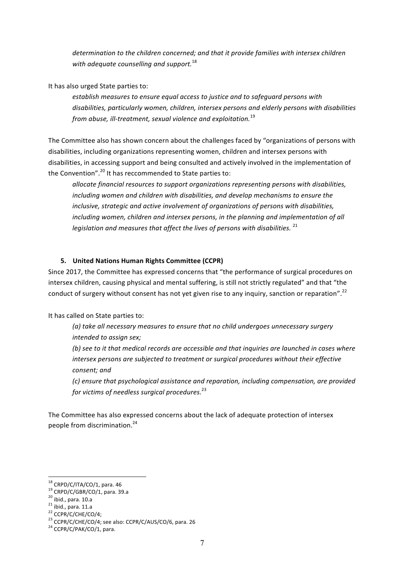*determination* to the children concerned; and that it provide families with intersex children with adequate counselling and support.<sup>18</sup>

It has also urged State parties to:

establish measures to ensure equal access to justice and to safequard persons with disabilities, particularly women, children, intersex persons and elderly persons with disabilities *from abuse, ill-treatment, sexual violence and exploitation.*<sup>19</sup>

The Committee also has shown concern about the challenges faced by "organizations of persons with disabilities, including organizations representing women, children and intersex persons with disabilities, in accessing support and being consulted and actively involved in the implementation of the Convention".<sup>20</sup> It has reccommended to State parties to:

*allocate financial resources to support organizations representing persons with disabilities, including* women and children with disabilities, and develop mechanisms to ensure the *inclusive, strategic and active involvement of organizations of persons with disabilities, including women, children and intersex persons, in the planning and implementation of all legislation and measures that affect the lives of persons with disabilities.* <sup>21</sup>

#### **5.** United Nations Human Rights Committee (CCPR)

Since 2017, the Committee has expressed concerns that "the performance of surgical procedures on intersex children, causing physical and mental suffering, is still not strictly regulated" and that "the conduct of surgery without consent has not yet given rise to any inquiry, sanction or reparation".<sup>22</sup>

It has called on State parties to:

(a) take all necessary measures to ensure that no child undergoes unnecessary surgery *intended* to assign sex;

(b) see to it that medical records are accessible and that inquiries are launched in cases where intersex persons are subjected to treatment or surgical procedures without their effective *consent; and*

(c) ensure that psychological assistance and reparation, including compensation, are provided *for victims of needless surgical procedures.*<sup>23</sup>

The Committee has also expressed concerns about the lack of adequate protection of intersex people from discrimination.<sup>24</sup>

<sup>&</sup>lt;sup>18</sup> CRPD/C/ITA/CO/1, para. 46<br>
<sup>19</sup> CRPD/C/GBR/CO/1, para. 39.a<br>
<sup>20</sup> ibid., para. 10.a<br>
<sup>21</sup> ibid., para. 11.a<br>
<sup>22</sup> CCPR/C/CHE/CO/4;<br>
<sup>23</sup> CCPR/C/CHE/CO/4; see also: CCPR/C/AUS/CO/6, para. 26<br>
<sup>24</sup> CCPR/C/PAK/CO/1, par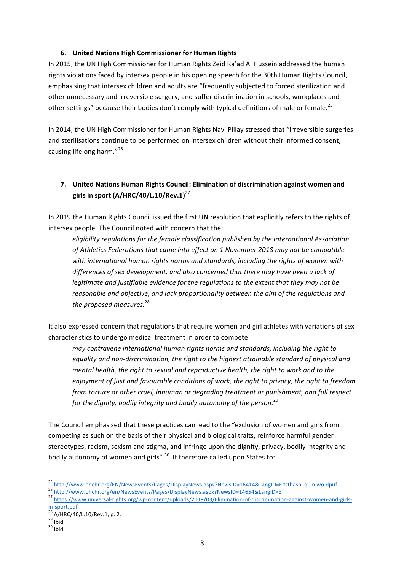## **6.** United Nations High Commissioner for Human Rights

In 2015, the UN High Commissioner for Human Rights Zeid Ra'ad Al Hussein addressed the human rights violations faced by intersex people in his opening speech for the 30th Human Rights Council, emphasising that intersex children and adults are "frequently subjected to forced sterilization and other unnecessary and irreversible surgery, and suffer discrimination in schools, workplaces and other settings" because their bodies don't comply with typical definitions of male or female.<sup>25</sup>

In 2014, the UN High Commissioner for Human Rights Navi Pillay stressed that "irreversible surgeries and sterilisations continue to be performed on intersex children without their informed consent, causing lifelong harm." $^{26}$ 

# **7.** United Nations Human Rights Council: Elimination of discrimination against women and girls in sport  $(A/HRC/40/L.10/Rev.1)^{27}$

In 2019 the Human Rights Council issued the first UN resolution that explicitly refers to the rights of intersex people. The Council noted with concern that the:

*eligibility* regulations for the female classification published by the International Association of Athletics Federations that came into effect on 1 November 2018 may not be compatible with international human rights norms and standards, including the rights of women with differences of sex development, and also concerned that there may have been a lack of *legitimate and justifiable evidence for the regulations to the extent that they may not be* reasonable and objective, and lack proportionality between the aim of the regulations and *the proposed measures.*<sup>28</sup>

It also expressed concern that regulations that require women and girl athletes with variations of sex characteristics to undergo medical treatment in order to compete:

*may contravene international human rights norms and standards, including the right to* equality and non-discrimination, the right to the highest attainable standard of physical and *mental health, the right to sexual and reproductive health, the right to work and to the enjoyment of just and favourable conditions of work, the right to privacy, the right to freedom from torture or other cruel, inhuman or degrading treatment or punishment, and full respect* for the dignity, bodily integrity and bodily autonomy of the person.<sup>29</sup>

The Council emphasised that these practices can lead to the "exclusion of women and girls from competing as such on the basis of their physical and biological traits, reinforce harmful gender stereotypes, racism, sexism and stigma, and infringe upon the dignity, privacy, bodily integrity and bodily autonomy of women and girls".<sup>30</sup> It therefore called upon States to:

 $\frac{\frac{25 \text{ http://www.ohchr.org/EN/NewsEvents/Pages/DisplayNews.35px?NewsID=16414&LangID=E#sthash. q0 niwo.dpuf}}{\frac{http://www.ohchr.org/en/NewsEvents/Pages/DisplayNews.35px?NewsID=14654&LangID=E}{\frac{27 \text{ https://www.nchchr.org/en/NewsEvents/Pages/DisplayNews.35px?NewsID=14654&LangID=E}}{\frac{525 \text{ https://www.universal-rights.org/wp-control/uploads/2019/03/Elimination-of-discriptionation-against-women-and-grils-}}{\frac{28 \text{ A} \cdot 10 \cdot 10^{10} \cdot$ 

<sup>&</sup>lt;sup>28</sup> A/HRC/40/L.10/Rev.1, p. 2.<br><sup>29</sup> Ibid. <sup>30</sup> Ibid.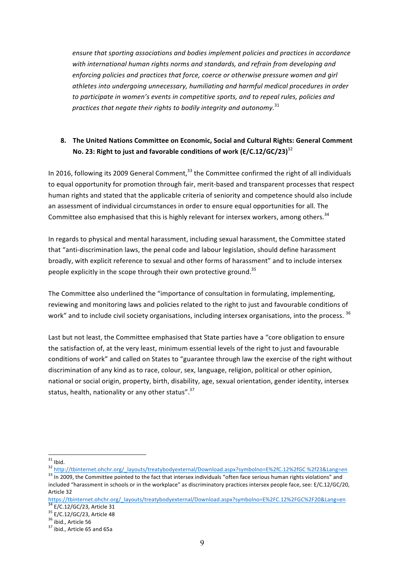*ensure that sporting associations and bodies implement policies and practices in accordance* with international human rights norms and standards, and refrain from developing and *enforcing policies and practices that force, coerce or otherwise pressure women and girl* athletes into undergoing unnecessary, humiliating and harmful medical procedures in order to participate in women's events in competitive sports, and to repeal rules, policies and practices that negate their rights to bodily integrity and autonomy. $^{\rm 31}$ 

# **8.** The United Nations Committee on Economic, Social and Cultural Rights: General Comment No. 23: Right to just and favorable conditions of work (E/C.12/GC/23)<sup>32</sup>

In 2016, following its 2009 General Comment,  $33$  the Committee confirmed the right of all individuals to equal opportunity for promotion through fair, merit-based and transparent processes that respect human rights and stated that the applicable criteria of seniority and competence should also include an assessment of individual circumstances in order to ensure equal opportunities for all. The Committee also emphasised that this is highly relevant for intersex workers, among others.<sup>34</sup>

In regards to physical and mental harassment, including sexual harassment, the Committee stated that "anti-discrimination laws, the penal code and labour legislation, should define harassment broadly, with explicit reference to sexual and other forms of harassment" and to include intersex people explicitly in the scope through their own protective ground.<sup>35</sup>

The Committee also underlined the "importance of consultation in formulating, implementing, reviewing and monitoring laws and policies related to the right to just and favourable conditions of work" and to include civil society organisations, including intersex organisations, into the process. <sup>36</sup>

Last but not least, the Committee emphasised that State parties have a "core obligation to ensure the satisfaction of, at the very least, minimum essential levels of the right to just and favourable conditions of work" and called on States to "guarantee through law the exercise of the right without discrimination of any kind as to race, colour, sex, language, religion, political or other opinion, national or social origin, property, birth, disability, age, sexual orientation, gender identity, intersex status, health, nationality or any other status". $37$ 

<sup>&</sup>lt;sup>31</sup> Ibid.<br><sup>32</sup> http://tbinternet.ohchr.org/\_layouts/treatybodyexternal/Download.aspx?symbolno=E%2fC.12%2fGC %2f23&Lang=en<br><sup>33</sup> In 2009, the Committee pointed to the fact that intersex individuals "often face serious huma

included "harassment in schools or in the workplace" as discriminatory practices intersex people face, see: E/C.12/GC/20, Article 32

https://tbinternet.ohchr.org/\_layouts/treatybodyexternal/Download.aspx?symbolno=E%2FC.12%2FGC%2F20&Lang=en 34 E/C.12/GC/23, Article 31<br><sup>35</sup> E/C.12/GC/23, Article 31<br><sup>35</sup> ibid., Article 56<br><sup>37</sup> ibid., Article 65 and 65a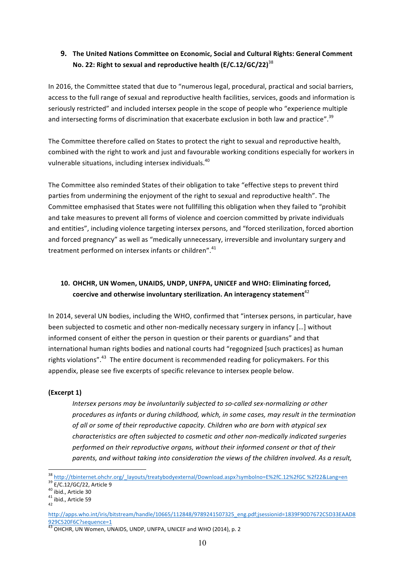# **9.** The United Nations Committee on Economic, Social and Cultural Rights: General Comment No. 22: Right to sexual and reproductive health (E/C.12/GC/22)<sup>38</sup>

In 2016, the Committee stated that due to "numerous legal, procedural, practical and social barriers, access to the full range of sexual and reproductive health facilities, services, goods and information is seriously restricted" and included intersex people in the scope of people who "experience multiple and intersecting forms of discrimination that exacerbate exclusion in both law and practice".<sup>39</sup>

The Committee therefore called on States to protect the right to sexual and reproductive health, combined with the right to work and just and favourable working conditions especially for workers in vulnerable situations, including intersex individuals.<sup>40</sup>

The Committee also reminded States of their obligation to take "effective steps to prevent third parties from undermining the enjoyment of the right to sexual and reproductive health". The Committee emphasised that States were not fullfilling this obligation when they failed to "prohibit and take measures to prevent all forms of violence and coercion committed by private individuals and entities", including violence targeting intersex persons, and "forced sterilization, forced abortion and forced pregnancy" as well as "medically unnecessary, irreversible and involuntary surgery and treatment performed on intersex infants or children".<sup>41</sup>

# 10. OHCHR, UN Women, UNAIDS, UNDP, UNFPA, UNICEF and WHO: Eliminating forced, coercive and otherwise involuntary sterilization. An interagency statement<sup>42</sup>

In 2014, several UN bodies, including the WHO, confirmed that "intersex persons, in particular, have been subjected to cosmetic and other non-medically necessary surgery in infancy [...] without informed consent of either the person in question or their parents or guardians" and that international human rights bodies and national courts had "regognized [such practices] as human rights violations".<sup>43</sup> The entire document is recommended reading for policymakers. For this appendix, please see five excerpts of specific relevance to intersex people below.

# **(Excerpt 1)**

*Intersex persons may be involuntarily subjected to so-called sex-normalizing or other* procedures as infants or during childhood, which, in some cases, may result in the termination of all or some of their reproductive capacity. Children who are born with atypical sex *characteristics are often subjected to cosmetic and other non-medically indicated surgeries* performed on their reproductive organs, without their informed consent or that of their parents, and without taking into consideration the views of the children involved. As a result,

- 
- 

 $\frac{38}{121}$  http://tbinternet.ohchr.org/\_layouts/treatybodyexternal/Download.aspx?symbolno=E%2fC.12%2fGC %2f22&Lang=en  $\frac{39}{121}$  E/C.12/GC/22, Article 9<br><sup>40</sup> ibid., Article 30<br><sup>41</sup> ibid., Article 59

http://apps.who.int/iris/bitstream/handle/10665/112848/9789241507325\_eng.pdf;jsessionid=1839F90D7672C5D33EAAD8 929C520F6C?sequence=1

 $\frac{1}{43}$  OHCHR, UN Women, UNAIDS, UNDP, UNFPA, UNICEF and WHO (2014), p. 2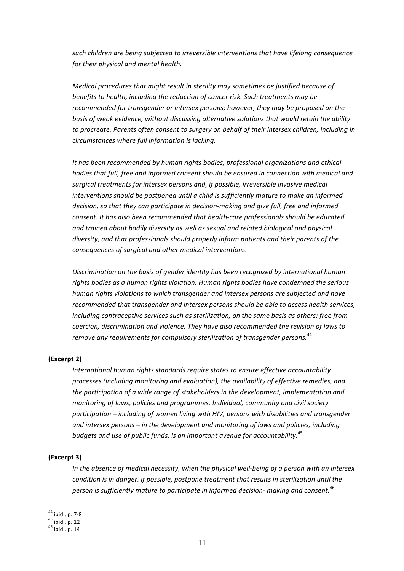such children are being subjected to irreversible interventions that have lifelong consequence *for their physical and mental health.* 

*Medical procedures that might result in sterility may sometimes be justified because of benefits* to health, including the reduction of cancer risk. Such treatments may be *recommended for transgender or intersex persons; however, they may be proposed on the* basis of weak evidence, without discussing alternative solutions that would retain the ability to procreate. Parents often consent to surgery on behalf of their intersex children, including in *circumstances* where full information is lacking.

It has been recommended by human rights bodies, professional organizations and ethical *bodies that full, free and informed consent should be ensured in connection with medical and* surgical treatments for intersex persons and, if possible, irreversible invasive medical *interventions* should be postponed until a child is sufficiently mature to make an informed decision, so that they can participate in decision-making and give full, free and informed *consent. It has also been recommended that health-care professionals should be educated* and trained about bodily diversity as well as sexual and related biological and physical diversity, and that professionals should properly inform patients and their parents of the *consequences of surgical and other medical interventions.* 

Discrimination on the basis of gender identity has been recognized by international human rights bodies as a human rights violation. Human rights bodies have condemned the serious *human rights violations to which transgender and intersex persons are subjected and have* recommended that transgender and intersex persons should be able to access health services, *including contraceptive services such as sterilization, on the same basis as others: free from coercion, discrimination and violence. They have also recommended the revision of laws to* remove any requirements for compulsory sterilization of transgender persons.<sup>44</sup>

#### **(Excerpt 2)**

International human rights standards require states to ensure effective accountability processes (including monitoring and evaluation), the availability of effective remedies, and *the participation of a wide range of stakeholders in the development, implementation and monitoring of laws, policies and programmes. Individual, community and civil society* participation – including of women living with HIV, persons with disabilities and transgender and intersex persons – in the development and monitoring of laws and policies, including budgets and use of public funds, is an important avenue for accountability.<sup>45</sup>

#### **(Excerpt 3)**

*In* the absence of medical necessity, when the physical well-being of a person with an intersex *condition is in danger, if possible, postpone treatment that results in sterilization until the* person is sufficiently mature to participate in informed decision- making and consent.<sup>46</sup>

 $^{44}$  ibid., p. 7-8<br> $^{45}$  ibid., p. 12<br> $^{46}$  ibid., p. 14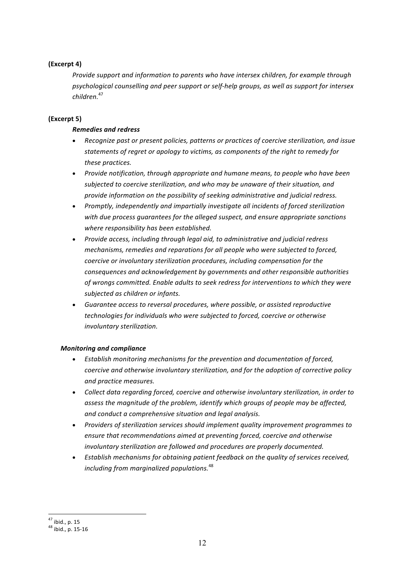## **(Excerpt 4)**

*Provide support and information to parents who have intersex children, for example through* psychological counselling and peer support or self-help groups, as well as support for intersex *children.*<sup>47</sup>

## **(Excerpt 5)**

#### *Remedies and redress*

- Recognize past or present policies, patterns or practices of coercive sterilization, and issue statements of regret or apology to victims, as components of the right to remedy for *these practices.*
- Provide notification, through appropriate and humane means, to people who have been subjected to coercive sterilization, and who may be unaware of their situation, and *provide information on the possibility of seeking administrative and judicial redress.*
- Promptly, independently and impartially investigate all incidents of forced sterilization with due process guarantees for the alleged suspect, and ensure appropriate sanctions where responsibility has been established.
- Provide access, including through legal aid, to administrative and judicial redress mechanisms, remedies and reparations for all people who were subjected to forced, *coercive or involuntary sterilization procedures, including compensation for the consequences and acknowledgement by governments and other responsible authorities* of wrongs committed. Enable adults to seek redress for interventions to which they were subjected as children or infants.
- Guarantee access to reversal procedures, where possible, or assisted reproductive technologies for individuals who were subjected to forced, coercive or otherwise *involuntary sterilization.*

#### *Monitoring and compliance*

- Establish monitoring mechanisms for the prevention and documentation of forced, *coercive and otherwise involuntary sterilization, and for the adoption of corrective policy and practice measures.*
- Collect data regarding forced, coercive and otherwise involuntary sterilization, in order to assess the magnitude of the problem, identify which groups of people may be affected, and conduct a comprehensive situation and legal analysis.
- Providers of sterilization services should implement quality improvement programmes to ensure that recommendations aimed at preventing forced, coercive and otherwise involuntary sterilization are followed and procedures are properly documented.
- *Establish mechanisms for obtaining patient feedback on the quality of services received,* including from marginalized populations.<sup>48</sup>

 $^{47}$  ibid., p. 15<br> $^{48}$  ibid., p. 15-16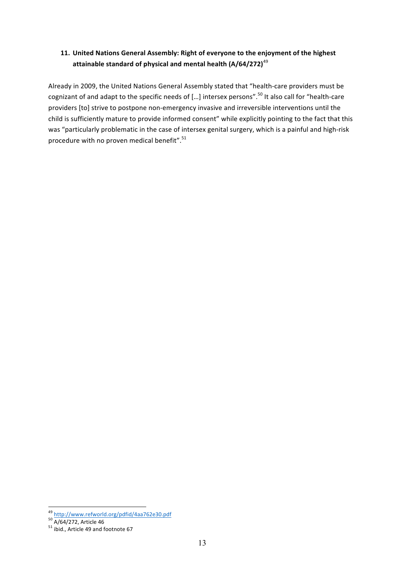# 11. United Nations General Assembly: Right of everyone to the enjoyment of the highest attainable standard of physical and mental health (A/64/272)<sup>49</sup>

Already in 2009, the United Nations General Assembly stated that "health-care providers must be cognizant of and adapt to the specific needs of [...] intersex persons".<sup>50</sup> It also call for "health-care providers [to] strive to postpone non-emergency invasive and irreversible interventions until the child is sufficiently mature to provide informed consent" while explicitly pointing to the fact that this was "particularly problematic in the case of intersex genital surgery, which is a painful and high-risk procedure with no proven medical benefit".<sup>51</sup>

 $^{49}$  http://www.refworld.org/pdfid/4aa762e30.pdf<br> $^{50}$  A/64/272, Article 46<br> $^{51}$  ibid., Article 49 and footnote 67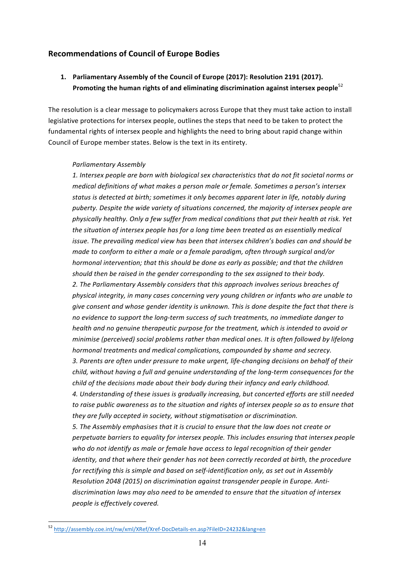# **Recommendations of Council of Europe Bodies**

1. Parliamentary Assembly of the Council of Europe (2017): Resolution 2191 (2017). Promoting the human rights of and eliminating discrimination against intersex people<sup>52</sup>

The resolution is a clear message to policymakers across Europe that they must take action to install legislative protections for intersex people, outlines the steps that need to be taken to protect the fundamental rights of intersex people and highlights the need to bring about rapid change within Council of Europe member states. Below is the text in its entirety.

## *Parliamentary Assembly*

1. Intersex people are born with biological sex characteristics that do not fit societal norms or *medical definitions of what makes a person male or female. Sometimes a person's intersex* status is detected at birth; sometimes it only becomes apparent later in life, notably during puberty. Despite the wide variety of situations concerned, the majority of intersex people are physically healthy. Only a few suffer from medical conditions that put their health at risk. Yet *the situation of intersex people has for a long time been treated as an essentially medical issue.* The prevailing medical view has been that intersex children's bodies can and should be *made to conform to either a male or a female paradigm, often through surgical and/or hormonal intervention; that this should be done as early as possible; and that the children* should then be raised in the gender corresponding to the sex assigned to their body. 2. The Parliamentary Assembly considers that this approach involves serious breaches of physical integrity, in many cases concerning very young children or infants who are unable to give consent and whose gender identity is unknown. This is done despite the fact that there is no evidence to support the long-term success of such treatments, no immediate danger to *health and no genuine therapeutic purpose for the treatment, which is intended to avoid or minimise (perceived) social problems rather than medical ones. It is often followed by lifelong hormonal treatments and medical complications, compounded by shame and secrecy.* 

3. Parents are often under pressure to make urgent, life-changing decisions on behalf of their *child, without having a full and genuine understanding of the long-term consequences for the child* of the decisions made about their body during their infancy and early childhood.

4. Understanding of these issues is gradually increasing, but concerted efforts are still needed to raise public awareness as to the situation and rights of intersex people so as to ensure that *they are fully accepted in society, without stigmatisation or discrimination.* 

5. The Assembly emphasises that it is crucial to ensure that the law does not create or *perpetuate barriers to equality for intersex people. This includes ensuring that intersex people* who do not identify as male or female have access to legal recognition of their gender *identity, and that where their gender has not been correctly recorded at birth, the procedure for rectifying this is simple and based on self-identification only, as set out in Assembly* Resolution 2048 (2015) on discrimination against transgender people in Europe. Antidiscrimination laws may also need to be amended to ensure that the situation of intersex *people is effectively covered.* 

<sup>52</sup> http://assembly.coe.int/nw/xml/XRef/Xref-DocDetails-en.asp?FileID=24232&lang=en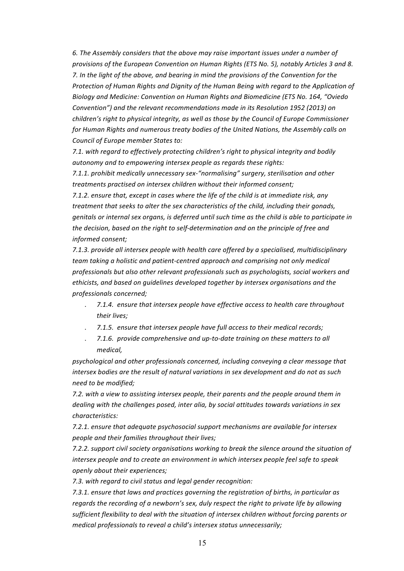6. The Assembly considers that the above may raise important issues under a number of provisions of the European Convention on Human Rights (ETS No. 5), notably Articles 3 and 8. *7.* In the light of the above, and bearing in mind the provisions of the Convention for the Protection of Human Rights and Dignity of the Human Being with regard to the Application of *Biology and Medicine: Convention on Human Rights and Biomedicine (ETS No. 164, "Oviedo*  Convention") and the relevant recommendations made in its Resolution 1952 (2013) on *children's right to physical integrity, as well as those by the Council of Europe Commissioner* for Human Rights and numerous treaty bodies of the United Nations, the Assembly calls on *Council of Europe member States to:* 

7.1. with regard to effectively protecting children's right to physical integrity and bodily autonomy and to empowering intersex people as regards these rights:

7.1.1. prohibit medically unnecessary sex-"normalising" surgery, sterilisation and other treatments practised on intersex children without their informed consent;

*7.1.2.* ensure that, except in cases where the life of the child is at immediate risk, any *treatment that seeks to alter the sex characteristics of the child, including their gonads, genitals* or internal sex organs, is deferred until such time as the child is able to participate in the decision, based on the right to self-determination and on the principle of free and *informed consent;* 

7.1.3. provide all intersex people with health care offered by a specialised, multidisciplinary team taking a holistic and patient-centred approach and comprising not only medical professionals but also other relevant professionals such as psychologists, social workers and ethicists, and based on guidelines developed together by intersex organisations and the *professionals concerned;* 

- 7.1.4. ensure that intersex people have effective access to health care throughout *their lives;*
- 7.1.5. ensure that intersex people have full access to their medical records;
- 7.1.6. provide comprehensive and up-to-date training on these matters to all *medical,*

psychological and other professionals concerned, including conveying a clear message that *intersex bodies are the result of natural variations in sex development and do not as such need to be modified;* 

7.2. with a view to assisting intersex people, their parents and the people around them in dealing with the challenges posed, inter alia, by social attitudes towards variations in sex *characteristics:* 

7.2.1. ensure that adequate psychosocial support mechanisms are available for intersex *people and their families throughout their lives;* 

7.2.2. support civil society organisations working to break the silence around the situation of *intersex people and to create an environment in which intersex people feel safe to speak openly about their experiences;* 

7.3. with regard to civil status and legal gender recognition:

7.3.1. ensure that laws and practices governing the registration of births, in particular as regards the recording of a newborn's sex, duly respect the right to private life by allowing sufficient flexibility to deal with the situation of intersex children without forcing parents or medical professionals to reveal a child's intersex status unnecessarily;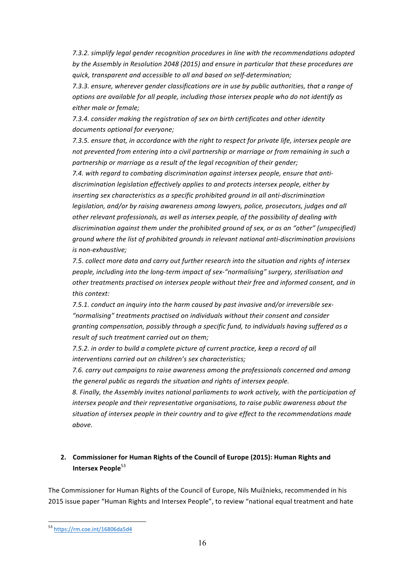7.3.2. simplify legal gender recognition procedures in line with the recommendations adopted *by* the Assembly in Resolution 2048 (2015) and ensure in particular that these procedures are quick, transparent and accessible to all and based on self-determination;

7.3.3. ensure, wherever gender classifications are in use by public authorities, that a range of *options* are available for all people, including those intersex people who do not identify as either male or female;

7.3.4. consider making the registration of sex on birth certificates and other identity documents optional for everyone;

7.3.5. ensure that, in accordance with the right to respect for private life, intersex people are not prevented from entering into a civil partnership or marriage or from remaining in such a partnership or marriage as a result of the legal recognition of their gender;

7.4. with regard to combating discrimination against intersex people, ensure that antidiscrimination *legislation* effectively applies to and protects intersex people, either by *inserting sex characteristics as a specific prohibited ground in all anti-discrimination legislation, and/or by raising awareness among lawyers, police, prosecutors, judges and all* other relevant professionals, as well as intersex people, of the possibility of dealing with discrimination against them under the prohibited around of sex, or as an "other" (unspecified) ground where the list of prohibited grounds in relevant national anti-discrimination provisions *is* non-exhaustive;

7.5. collect more data and carry out further research into the situation and rights of intersex people, including into the long-term impact of sex-"normalising" surgery, sterilisation and other treatments practised on intersex people without their free and informed consent, and in this context:

7.5.1. conduct an inquiry into the harm caused by past invasive and/or irreversible sex-*"normalising" treatments practised on individuals without their consent and consider*  granting compensation, possibly through a specific fund, to individuals having suffered as a result of such treatment carried out on them;

7.5.2. in order to build a complete picture of current practice, keep a record of all interventions carried out on children's sex characteristics;

7.6. carry out campaigns to raise awareness among the professionals concerned and among *the general public as regards the situation and rights of intersex people.* 

8. Finally, the Assembly invites national parliaments to work actively, with the participation of *intersex people and their representative organisations, to raise public awareness about the* situation of intersex people in their country and to give effect to the recommendations made *above.*

# 2. Commissioner for Human Rights of the Council of Europe (2015): Human Rights and **Intersex People**<sup>53</sup>

The Commissioner for Human Rights of the Council of Europe, Nils Muižnieks, recommended in his 2015 issue paper "Human Rights and Intersex People", to review "national equal treatment and hate

<sup>53</sup> https://rm.coe.int/16806da5d4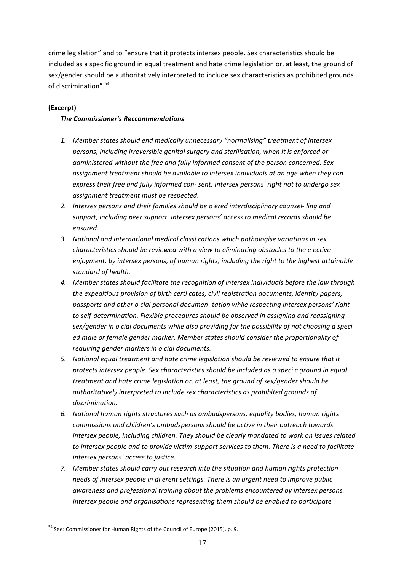crime legislation" and to "ensure that it protects intersex people. Sex characteristics should be included as a specific ground in equal treatment and hate crime legislation or, at least, the ground of sex/gender should be authoritatively interpreted to include sex characteristics as prohibited grounds of discrimination".<sup>54</sup>

# **(Excerpt)**

# *The Commissioner's Reccommendations*

- 1. Member states should end medically unnecessary "normalising" treatment of intersex persons, including irreversible genital surgery and sterilisation, when it is enforced or *administered without the free and fully informed consent of the person concerned. Sex* assignment treatment should be available to intersex individuals at an age when they can express their free and fully informed con- sent. Intersex persons' right not to undergo sex assignment treatment must be respected.
- 2. Intersex persons and their families should be o ered interdisciplinary counsel- ling and support, including peer support. Intersex persons' access to medical records should be *ensured.*
- 3. National and international medical classi cations which pathologise variations in sex *characteristics should be reviewed with a view to eliminating obstacles to the e ective* enjoyment, by intersex persons, of human rights, including the right to the highest attainable *standard of health.*
- 4. Member states should facilitate the recognition of intersex individuals before the law through *the expeditious provision of birth certi cates, civil registration documents, identity papers,* passports and other o cial personal documen- tation while respecting intersex persons' right to self-determination. Flexible procedures should be observed in assigning and reassigning sex/gender in o cial documents while also providing for the possibility of not choosing a speci ed male or female gender marker. Member states should consider the proportionality of *requiring gender markers in o cial documents.*
- 5. National equal treatment and hate crime legislation should be reviewed to ensure that it protects intersex people. Sex characteristics should be included as a speci c ground in equal *treatment and hate crime legislation or, at least, the ground of sex/gender should be* authoritatively interpreted to include sex characteristics as prohibited grounds of *discrimination.*
- 6. National human rights structures such as ombudspersons, equality bodies, human rights *commissions and children's ombudspersons should be active in their outreach towards intersex people, including children. They should be clearly mandated to work on issues related to* intersex people and to provide victim-support services to them. There is a need to facilitate *intersex persons' access to justice.*
- 7. Member states should carry out research into the situation and human rights protection needs of intersex people in di erent settings. There is an urgent need to improve public awareness and professional training about the problems encountered by intersex persons. *Intersex people and organisations representing them should be enabled to participate*

 $54$  See: Commissioner for Human Rights of the Council of Europe (2015), p. 9.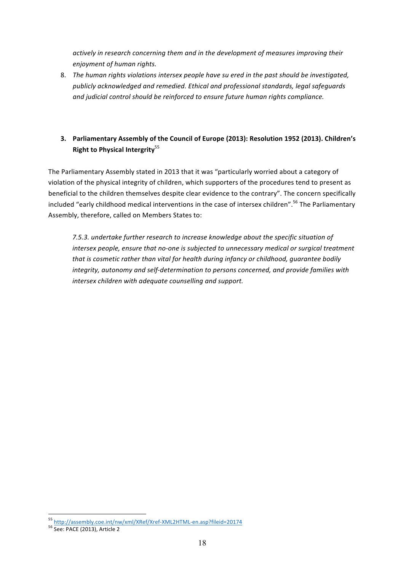actively in research concerning them and in the development of measures improving their *enjoyment of human rights.* 

8. The human rights violations intersex people have su ered in the past should be investigated, *publicly acknowledged and remedied. Ethical and professional standards, legal safeguards*  and judicial control should be reinforced to ensure future human rights compliance.

# **3.** Parliamentary Assembly of the Council of Europe (2013): Resolution 1952 (2013). Children's **Right to Physical Intergrity**<sup>55</sup>

The Parliamentary Assembly stated in 2013 that it was "particularly worried about a category of violation of the physical integrity of children, which supporters of the procedures tend to present as beneficial to the children themselves despite clear evidence to the contrary". The concern specifically included "early childhood medical interventions in the case of intersex children".<sup>56</sup> The Parliamentary Assembly, therefore, called on Members States to:

7.5.3. undertake further research to increase knowledge about the specific situation of intersex people, ensure that no-one is subjected to unnecessary medical or surgical treatment that is cosmetic rather than vital for health during infancy or childhood, guarantee bodily integrity, autonomy and self-determination to persons concerned, and provide families with intersex children with adequate counselling and support.

 $^{55}$ http://assembly.coe.int/nw/xml/XRef/Xref-XML2HTML-en.asp?fileid=20174<br>  $^{56}$  See: PACE (2013), Article 2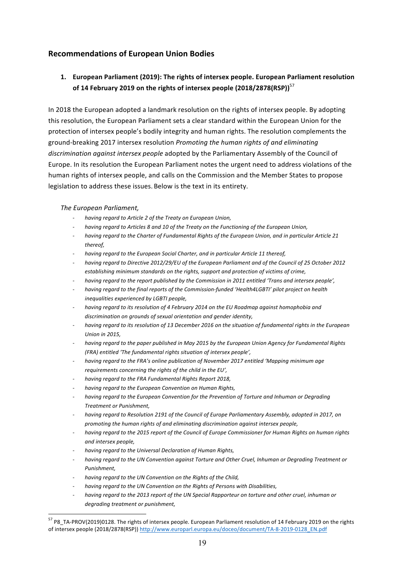# **Recommendations of European Union Bodies**

1. **European Parliament (2019): The rights of intersex people. European Parliament resolution** of 14 February 2019 on the rights of intersex people  $(2018/2878(RSP))$ <sup>57</sup>

In 2018 the European adopted a landmark resolution on the rights of intersex people. By adopting this resolution, the European Parliament sets a clear standard within the European Union for the protection of intersex people's bodily integrity and human rights. The resolution complements the ground-breaking 2017 intersex resolution *Promoting the human rights of and eliminating* discrimination against intersex people adopted by the Parliamentary Assembly of the Council of Europe. In its resolution the European Parliament notes the urgent need to address violations of the human rights of intersex people, and calls on the Commission and the Member States to propose legislation to address these issues. Below is the text in its entirety.

#### *The European Parliament,*

- having regard to Article 2 of the Treaty on European Union,
- having regard to Articles 8 and 10 of the Treaty on the Functioning of the European Union,
- having regard to the Charter of Fundamental Rights of the European Union, and in particular Article 21 *thereof,*
- having regard to the European Social Charter, and in particular Article 11 thereof,
- having regard to Directive 2012/29/EU of the European Parliament and of the Council of 25 October 2012 establishing minimum standards on the rights, support and protection of victims of crime,
- having regard to the report published by the Commission in 2011 entitled 'Trans and intersex people',
- having regard to the final reports of the Commission-funded 'Health4LGBTI' pilot project on health *inequalities experienced by LGBTI people,*
- having regard to its resolution of 4 February 2014 on the EU Roadmap against homophobia and discrimination on grounds of sexual orientation and gender identity,
- having regard to its resolution of 13 December 2016 on the situation of fundamental rights in the European *Union in 2015,*
- having regard to the paper published in May 2015 by the European Union Agency for Fundamental Rights (FRA) entitled 'The fundamental rights situation of intersex people',
- having regard to the FRA's online publication of November 2017 entitled 'Mapping minimum age requirements concerning the rights of the child in the EU',
- having regard to the FRA Fundamental Rights Report 2018,
- having regard to the European Convention on Human Rights,
- having regard to the European Convention for the Prevention of Torture and Inhuman or Degrading *Treatment or Punishment,*
- having regard to Resolution 2191 of the Council of Europe Parliamentary Assembly, adopted in 2017, on *promoting the human rights of and eliminating discrimination against intersex people,*
- having regard to the 2015 report of the Council of Europe Commissioner for Human Rights on human rights *and intersex people,*
- having regard to the Universal Declaration of Human Rights,
- having regard to the UN Convention against Torture and Other Cruel, Inhuman or Degrading Treatment or *Punishment,*
- having regard to the UN Convention on the Rights of the Child,
- having regard to the UN Convention on the Rights of Persons with Disabilities,
- having regard to the 2013 report of the UN Special Rapporteur on torture and other cruel, inhuman or *degrading treatment or punishment,*

<sup>&</sup>lt;sup>57</sup> P8 TA-PROV(2019)0128. The rights of intersex people. European Parliament resolution of 14 February 2019 on the rights of intersex people (2018/2878(RSP)) http://www.europarl.europa.eu/doceo/document/TA-8-2019-0128\_EN.pdf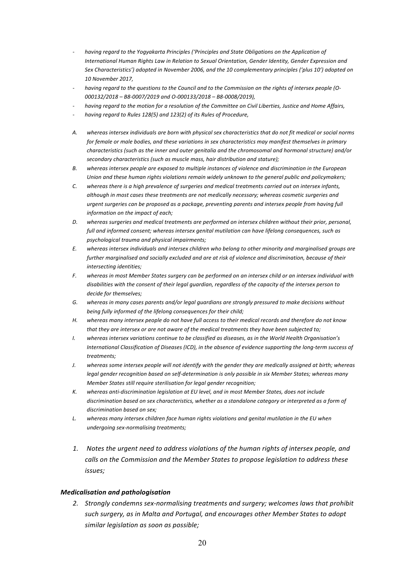- having regard to the Yogyakarta Principles ('Principles and State Obligations on the Application of International Human Rights Law in Relation to Sexual Orientation, Gender Identity, Gender Expression and Sex Characteristics') adopted in November 2006, and the 10 complementary principles ('plus 10') adopted on *10 November 2017,*
- having regard to the questions to the Council and to the Commission on the rights of intersex people (O-*000132/2018 – B8-0007/2019 and O-000133/2018 – B8-0008/2019),*
- having regard to the motion for a resolution of the Committee on Civil Liberties, Justice and Home Affairs,
- having regard to Rules 128(5) and 123(2) of its Rules of Procedure,
- A. whereas intersex individuals are born with physical sex characteristics that do not fit medical or social norms *for female or male bodies, and these variations in sex characteristics may manifest themselves in primary characteristics* (such as the inner and outer genitalia and the chromosomal and hormonal structure) and/or secondary characteristics (such as muscle mass, hair distribution and stature);
- B. whereas intersex people are exposed to multiple instances of violence and discrimination in the European *Union* and these human rights violations remain widely unknown to the general public and policymakers;
- *C.* whereas there is a high prevalence of surgeries and medical treatments carried out on intersex infants, although in most cases these treatments are not medically necessary; whereas cosmetic surgeries and urgent surgeries can be proposed as a package, preventing parents and intersex people from having full information on the impact of each;
- D. whereas surgeries and medical treatments are performed on intersex children without their prior, personal, full and informed consent; whereas intersex genital mutilation can have lifelong consequences, such as *psychological trauma and physical impairments;*
- *E.* whereas intersex individuals and intersex children who belong to other minority and marginalised groups are further marginalised and socially excluded and are at risk of violence and discrimination, because of their *intersecting identities:*
- *F.* whereas in most Member States surgery can be performed on an intersex child or an intersex individual with disabilities with the consent of their legal quardian, regardless of the capacity of the intersex person to *decide for themselves;*
- G. whereas in many cases parents and/or legal quardians are strongly pressured to make decisions without being fully informed of the lifelong consequences for their child;
- *H.* whereas many intersex people do not have full access to their medical records and therefore do not know that they are intersex or are not aware of the medical treatments they have been subjected to;
- *I.* whereas intersex variations continue to be classified as diseases, as in the World Health Organisation's *International Classification of Diseases (ICD), in the absence of evidence supporting the long-term success of treatments;*
- *J.* whereas some intersex people will not identify with the gender they are medically assigned at birth; whereas *legal gender recognition based on self-determination is only possible in six Member States; whereas many Member States still require sterilisation for legal gender recognition;*
- K. whereas anti-discrimination legislation at EU level, and in most Member States, does not include discrimination based on sex characteristics, whether as a standalone category or interpreted as a form of *discrimination based on sex;*
- L. whereas many intersex children face human rights violations and genital mutilation in the EU when *undergoing sex-normalising treatments;*
- 1. Notes the urgent need to address violations of the human rights of intersex people, and *calls* on the Commission and the Member States to propose legislation to address these *issues;*

#### *Medicalisation and pathologisation*

2. Strongly condemns sex-normalising treatments and surgery; welcomes laws that prohibit such surgery, as in Malta and Portugal, and encourages other Member States to adopt similar legislation as soon as possible;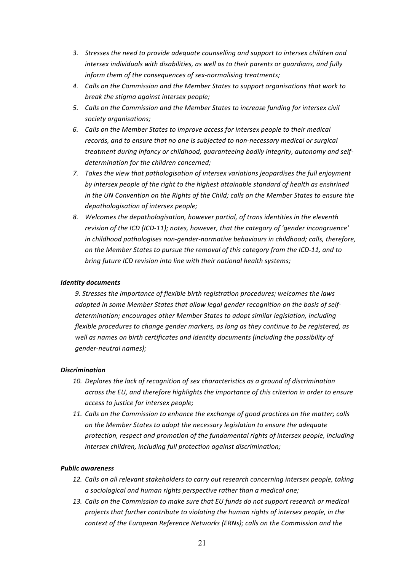- 3. Stresses the need to provide adequate counselling and support to intersex children and *intersex individuals with disabilities, as well as to their parents or guardians, and fully* inform them of the consequences of sex-normalising treatments;
- 4. Calls on the Commission and the Member States to support organisations that work to break the stigma against intersex people;
- 5. Calls on the Commission and the Member States to increase funding for intersex civil *society organisations;*
- 6. Calls on the Member States to improve access for intersex people to their medical records, and to ensure that no one is subjected to non-necessary medical or surgical treatment during infancy or childhood, guaranteeing bodily integrity, autonomy and selfdetermination for the children concerned:
- 7. Takes the view that pathologisation of intersex variations jeopardises the full enjoyment by intersex people of the right to the highest attainable standard of health as enshrined *in* the UN Convention on the Rights of the Child; calls on the Member States to ensure the depathologisation of intersex people;
- 8. Welcomes the depathologisation, however partial, of trans identities in the eleventh revision of the ICD (ICD-11); notes, however, that the category of 'gender incongruence' in childhood pathologises non-gender-normative behaviours in childhood; calls, therefore, on the Member States to pursue the removal of this category from the ICD-11, and to *bring future ICD revision into line with their national health systems;*

## *Identity documents*

9. Stresses the *importance of flexible birth registration procedures;* welcomes the laws adopted in some Member States that allow legal gender recognition on the basis of selfdetermination; encourages other Member States to adopt similar legislation, including flexible procedures to change gender markers, as long as they continue to be registered, as well as names on birth certificates and identity documents (including the possibility of *gender-neutral names);* 

#### *Discrimination*

- 10. Deplores the lack of recognition of sex characteristics as a ground of discrimination *across* the EU, and therefore highlights the importance of this criterion in order to ensure *access to justice for intersex people;*
- 11. Calls on the Commission to enhance the exchange of good practices on the matter; calls on the Member States to adopt the necessary legislation to ensure the adequate protection, respect and promotion of the fundamental rights of intersex people, including intersex children, including full protection against discrimination;

#### *Public awareness*

- 12. Calls on all relevant stakeholders to carry out research concerning intersex people, taking a sociological and human rights perspective rather than a medical one;
- 13. Calls on the Commission to make sure that EU funds do not support research or medical projects that further contribute to violating the human rights of intersex people, in the context of the European Reference Networks (ERNs); calls on the Commission and the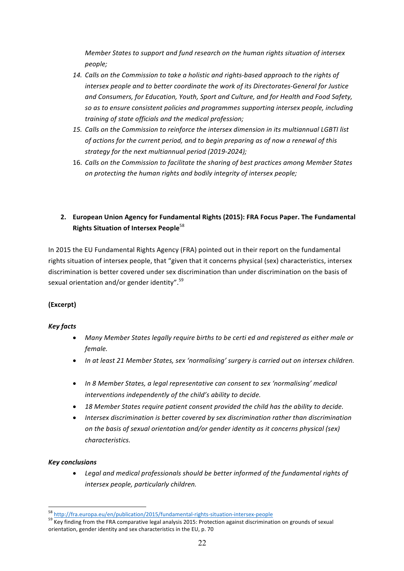*Member States to support and fund research on the human rights situation of intersex people;* 

- 14. Calls on the Commission to take a holistic and rights-based approach to the rights of *intersex people and to better coordinate the work of its Directorates-General for Justice* and Consumers, for Education, Youth, Sport and Culture, and for Health and Food Safety, so as to ensure consistent policies and programmes supporting intersex people, including training of state officials and the medical profession;
- 15. Calls on the Commission to reinforce the intersex dimension in its multiannual LGBTI list of actions for the current period, and to begin preparing as of now a renewal of this strategy for the next multiannual period (2019-2024);
- 16. Calls on the Commission to facilitate the sharing of best practices among Member States *on protecting the human rights and bodily integrity of intersex people;*

# 2. **European Union Agency for Fundamental Rights (2015): FRA Focus Paper. The Fundamental Rights Situation of Intersex People**<sup>58</sup>

In 2015 the EU Fundamental Rights Agency (FRA) pointed out in their report on the fundamental rights situation of intersex people, that "given that it concerns physical (sex) characteristics, intersex discrimination is better covered under sex discrimination than under discrimination on the basis of sexual orientation and/or gender identity".<sup>59</sup>

# **(Excerpt)**

## *Key facts*

- Many Member States legally require births to be certi ed and registered as either male or *female.*
- In at least 21 Member States, sex 'normalising' surgery is carried out on intersex children.
- In 8 Member States, a legal representative can consent to sex 'normalising' medical interventions independently of the child's ability to decide.
- 18 Member States require patient consent provided the child has the ability to decide.
- Intersex discrimination is better covered by sex discrimination rather than discrimination *on* the basis of sexual orientation and/or gender identity as it concerns physical (sex) *characteristics.*

## *Key conclusions*

• Legal and medical professionals should be better informed of the fundamental rights of *intersex people, particularly children.* 

<sup>&</sup>lt;sup>58</sup> http://fra.europa.eu/en/publication/2015/fundamental-rights-situation-intersex-people<br><sup>59</sup> Key finding from the FRA comparative legal analysis 2015: Protection against discrimination on grounds of sexual orientation, gender identity and sex characteristics in the EU, p. 70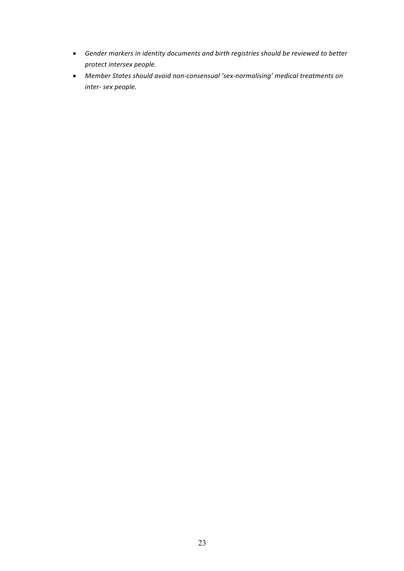- Gender markers in identity documents and birth registries should be reviewed to better *protect intersex people.*
- Member States should avoid non-consensual 'sex-normalising' medical treatments on *inter- sex people.*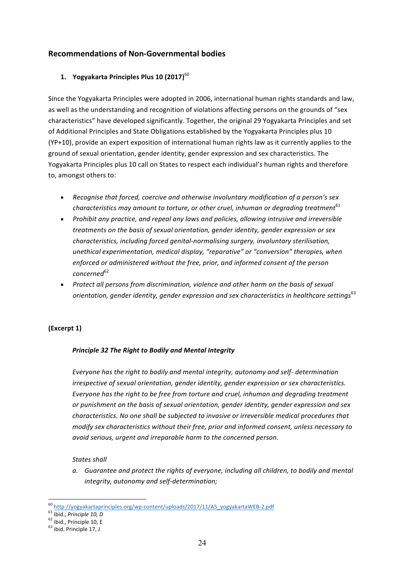# **Recommendations of Non-Governmental bodies**

# 1. **Yogyakarta Principles Plus 10 (2017)**<sup>60</sup>

Since the Yogyakarta Principles were adopted in 2006, international human rights standards and law, as well as the understanding and recognition of violations affecting persons on the grounds of "sex characteristics" have developed significantly. Together, the original 29 Yogyakarta Principles and set of Additional Principles and State Obligations established by the Yogyakarta Principles plus 10 (YP+10), provide an expert exposition of international human rights law as it currently applies to the ground of sexual orientation, gender identity, gender expression and sex characteristics. The Yogyakarta Principles plus 10 call on States to respect each individual's human rights and therefore to, amongst others to:

- Recognise that forced, coercive and otherwise involuntary modification of a person's sex *characteristics* may amount to torture, or other cruel, inhuman or degrading treatment<sup>61</sup>
- Prohibit any practice, and repeal any laws and policies, allowing intrusive and irreversible treatments on the basis of sexual orientation, gender identity, gender expression or sex characteristics, including forced genital-normalising surgery, involuntary sterilisation, *unethical experimentation, medical display, "reparative" or "conversion" therapies, when enforced or administered without the free, prior, and informed consent of the person* concerned<sup>62</sup>
- Protect all persons from discrimination, violence and other harm on the basis of sexual orientation, gender identity, gender expression and sex characteristics in healthcare settings<sup>63</sup>

## **(Excerpt 1)**

#### **Principle 32 The Right to Bodily and Mental Integrity**

*Everyone has the right to bodily and mental integrity, autonomy and self-* determination *irrespective of sexual orientation, gender identity, gender expression or sex characteristics.* Everyone has the right to be free from torture and cruel, inhuman and degrading treatment or punishment on the basis of sexual orientation, gender identity, gender expression and sex *characteristics.* No one shall be subjected to invasive or irreversible medical procedures that *modify sex characteristics without their free, prior and informed consent, unless necessary to avoid serious, urgent and irreparable harm to the concerned person.* 

#### *States shall*

a. Guarantee and protect the rights of everyone, including all children, to bodily and mental integrity, autonomy and self-determination;

<sup>&</sup>lt;sup>60</sup> http://yogyakartaprinciples.org/wp-content/uploads/2017/11/A5\_yogyakartaWEB-2.pdf<br><sup>61</sup> ibid., *Principle 10, D*<br><sup>62</sup> ibid., Principle 10, E<br><sup>63</sup> ibid. Principle 17, J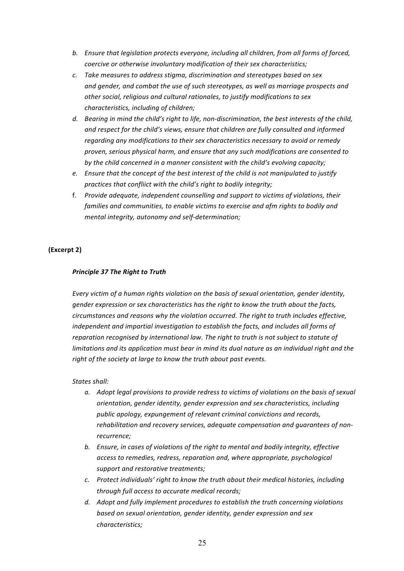- **b.** Ensure that legislation protects everyone, including all children, from all forms of forced, *coercive or otherwise involuntary modification of their sex characteristics;*
- *c.* Take measures to address stigma, discrimination and stereotypes based on sex and gender, and combat the use of such stereotypes, as well as marriage prospects and other social, religious and cultural rationales, to justify modifications to sex characteristics, including of children;
- d. Bearing in mind the child's right to life, non-discrimination, the best interests of the child, and respect for the child's views, ensure that children are fully consulted and informed *regarding any modifications to their sex characteristics necessary to avoid or remedy* proven, serious physical harm, and ensure that any such modifications are consented to by the child concerned in a manner consistent with the child's evolving capacity;
- *e.* Ensure that the concept of the best interest of the child is not manipulated to justify *practices that confliict with the child's right to bodily integrity;*
- f. Provide adequate, independent counselling and support to victims of violations, their families and communities, to enable victims to exercise and afm rights to bodily and *mental integrity, autonomy and self-determination;*

## **(Excerpt 2)**

## **Principle 37 The Right to Truth**

*Every victim of a human rights violation on the basis of sexual orientation, gender identity, gender expression or sex characteristics has the right to know the truth about the facts, circumstances and reasons why the violation occurred. The right to truth includes effective,* independent and impartial investigation to establish the facts, and includes all forms of reparation recognised by international law. The right to truth is not subject to statute of *limitations* and its application must bear in mind its dual nature as an individual right and the right of the society at large to know the truth about past events.

#### *States shall:*

- a. Adopt legal provisions to provide redress to victims of violations on the basis of sexual *orientation, gender identity, gender expression and sex characteristics, including* public apology, expungement of relevant criminal convictions and records, rehabilitation and recovery services, adequate compensation and guarantees of non*recurrence;*
- *b.* Ensure, in cases of violations of the right to mental and bodily integrity, effective access to remedies, redress, reparation and, where appropriate, psychological support and restorative treatments;
- c. Protect individuals' right to know the truth about their medical histories, including *through full access to accurate medical records:*
- d. Adopt and fully implement procedures to establish the truth concerning violations based on sexual orientation, gender identity, gender expression and sex *characteristics;*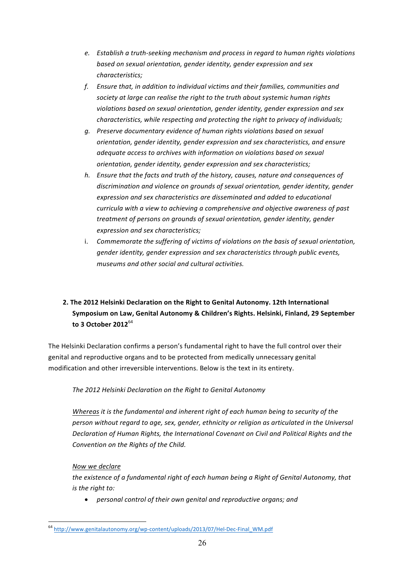- *e.* Establish a truth-seeking mechanism and process in regard to human rights violations based on sexual orientation, gender identity, gender expression and sex *characteristics;*
- f. Ensure that, in addition to individual victims and their families, communities and society at large can realise the right to the truth about systemic human rights violations based on sexual orientation, gender identity, gender expression and sex *characteristics, while respecting and protecting the right to privacy of individuals;*
- g. Preserve documentary evidence of human rights violations based on sexual *orientation, gender identity, gender expression and sex characteristics, and ensure adequate access to archives with information on violations based on sexual orientation, gender identity, gender expression and sex characteristics;*
- *h.* Ensure that the facts and truth of the history, causes, nature and consequences of discrimination and violence on grounds of sexual orientation, gender identity, gender expression and sex characteristics are disseminated and added to educational *curricula with a view to achieving a comprehensive and objective awareness of past* treatment of persons on grounds of sexual orientation, gender identity, gender *expression and sex characteristics;*
- i. Commemorate the suffering of victims of violations on the basis of sexual orientation, *gender identity, gender expression and sex characteristics through public events, museums and other social and cultural activities.*

# 2. The 2012 Helsinki Declaration on the Right to Genital Autonomy. 12th International Symposium on Law, Genital Autonomy & Children's Rights. Helsinki, Finland, 29 September **to 3 October 2012**<sup>64</sup>

The Helsinki Declaration confirms a person's fundamental right to have the full control over their genital and reproductive organs and to be protected from medically unnecessary genital modification and other irreversible interventions. Below is the text in its entirety.

*The 2012 Helsinki Declaration on the Right to Genital Autonomy*

*Whereas* it is the fundamental and inherent right of each human being to security of the person without regard to age, sex, gender, ethnicity or religion as articulated in the Universal Declaration of Human Rights, the International Covenant on Civil and Political Rights and the *Convention on the Rights of the Child.*

## *Now we declare*

*the existence of a fundamental right of each human being a Right of Genital Autonomy, that is the right to:* 

personal control of their own genital and reproductive organs; and

<sup>64</sup> http://www.genitalautonomy.org/wp-content/uploads/2013/07/Hel-Dec-Final\_WM.pdf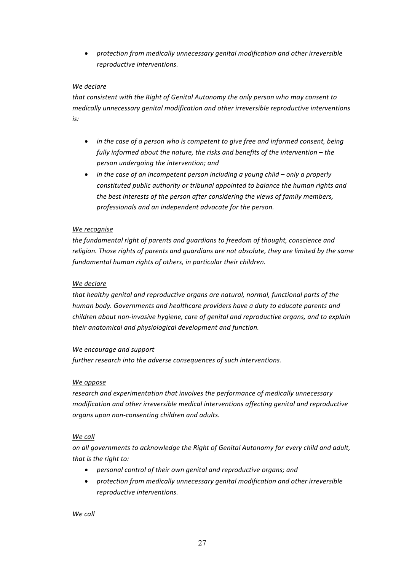• *protection from medically unnecessary genital modification and other irreversible reproductive interventions.* 

## *We declare*

that consistent with the Right of Genital Autonomy the only person who may consent to medically unnecessary genital modification and other irreversible reproductive interventions *is:*

- *in the case of a person who is competent to give free and informed consent, being* fully informed about the nature, the risks and benefits of the intervention – the *person undergoing the intervention; and*
- *in the case of an incompetent person including a young child only a properly constituted public authority or tribunal appointed to balance the human rights and* the best interests of the person after considering the views of family members, *professionals and an independent advocate for the person.*

## *We recognise*

*the fundamental right of parents and guardians to freedom of thought, conscience and* religion. Those rights of parents and guardians are not absolute, they are limited by the same fundamental human rights of others, in particular their children.

#### *We declare*

that healthy genital and reproductive organs are natural, normal, functional parts of the *human body.* Governments and healthcare providers have a duty to educate parents and *children* about non-invasive hygiene, care of genital and reproductive organs, and to explain their anatomical and physiological development and function.

#### *We encourage and support*

further research into the adverse consequences of such interventions.

#### *We oppose*

research and experimentation that involves the performance of medically unnecessary *modification and other irreversible medical interventions affecting genital and reproductive organs upon non-consenting children and adults.*

#### *We call*

on all governments to acknowledge the Right of Genital Autonomy for every child and adult, that is the right to:

- *personal control of their own genital and reproductive organs; and*
- protection from medically unnecessary genital modification and other irreversible *reproductive interventions.*

#### *We call*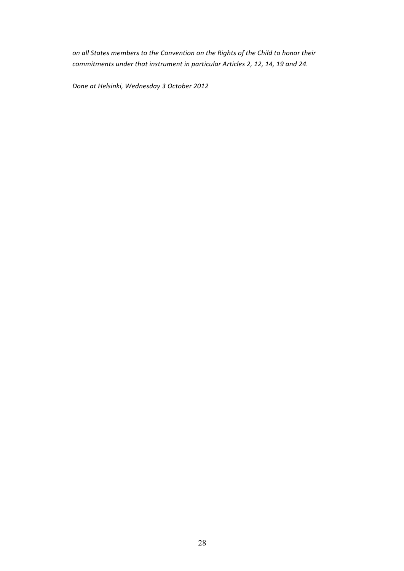on all States members to the Convention on the Rights of the Child to honor their *commitments under that instrument in particular Articles 2, 12, 14, 19 and 24.* 

*Done at Helsinki, Wednesday 3 October 2012*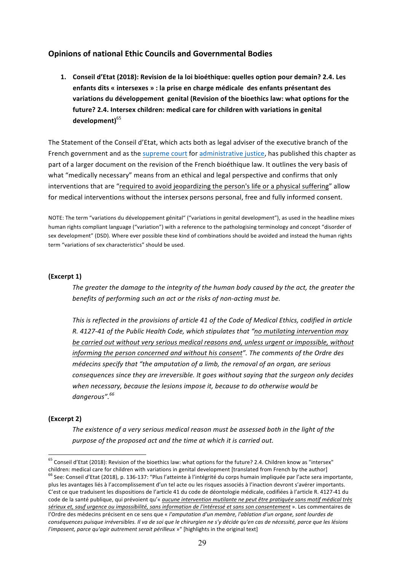# **Opinions of national Ethic Councils and Governmental Bodies**

1. Conseil d'Etat (2018): Revision de la loi bioéthique: quelles option pour demain? 2.4. Les **enfants dits « intersexes » : la prise en charge médicale des enfants présentant des** variations du développement genital (Revision of the bioethics law: what options for the future? 2.4. Intersex children: medical care for children with variations in genital **development)** 65

The Statement of the Conseil d'Etat, which acts both as legal adviser of the executive branch of the French government and as the supreme court for administrative justice, has published this chapter as part of a larger document on the revision of the French bioéthique law. It outlines the very basis of what "medically necessary" means from an ethical and legal perspective and confirms that only interventions that are "required to avoid jeopardizing the person's life or a physical suffering" allow for medical interventions without the intersex persons personal, free and fully informed consent.

NOTE: The term "variations du développement génital" ("variations in genital development"), as used in the headline mixes human rights compliant language ("variation") with a reference to the pathologising terminology and concept "disorder of sex development" (DSD). Where ever possible these kind of combinations should be avoided and instead the human rights term "variations of sex characteristics" should be used.

## **(Excerpt 1)**

The areater the damage to the integrity of the human body caused by the act, the areater the *benefits* of performing such an act or the risks of non-acting must be.

This is reflected in the provisions of article 41 of the Code of Medical Ethics, codified in article *R.* 4127-41 of the Public Health Code, which stipulates that "no mutilating intervention may be carried out without very serious medical reasons and, unless urgent or *impossible*, without informing the person concerned and without his consent". The comments of the Ordre des *médecins specify that "the amputation of a limb, the removal of an organ, are serious consequences since they are irreversible. It aoes without saying that the surgeon only decides* when necessary, because the lesions impose it, because to do otherwise would be *dangerous". 66*

#### **(Excerpt 2)**

The existence of a very serious medical reason must be assessed both in the light of the purpose of the proposed act and the time at which it is carried out.

 $65$  Conseil d'Etat (2018): Revision of the bioethics law: what options for the future? 2.4. Children know as "intersex"

children: medical care for children with variations in genital development [translated from French by the author]<br><sup>66</sup> See: Conseil d'Etat (2018), p. 136-137: "Plus l'atteinte à l'intégrité du corps humain impliquée par l' plus les avantages liés à l'accomplissement d'un tel acte ou les risques associés à l'inaction devront s'avérer importants. C'est ce que traduisent les dispositions de l'article 41 du code de déontologie médicale, codifiées à l'article R. 4127-41 du code de la santé publique, qui prévoient qu'« *aucune intervention mutilante ne peut être pratiquée sans motif médical très* sérieux et, sauf urgence ou impossibilité, sans information de l'intéressé et sans son consentement ». Les commentaires de l'Ordre des médecins précisent en ce sens que « *l'amputation d'un membre, l'ablation d'un organe, sont lourdes de* conséquences puisque irréversibles. Il va de soi que le chirurgien ne s'y décide qu'en cas de nécessité, parce que les lésions *l'imposent, parce qu'agir autrement serait périlleux* »" [highlights in the original text]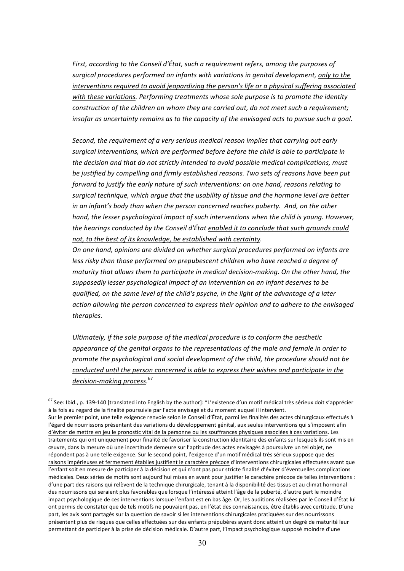*First, according to the Conseil d'État, such a requirement refers, among the purposes of* surgical procedures performed on infants with variations in genital development, only to the *interventions required to avoid jeopardizing the person's life or a physical suffering associated* with these variations. Performing treatments whose sole purpose is to promote the identity *construction* of the children on whom they are carried out, do not meet such a requirement; *insofar as uncertainty remains as to the capacity of the envisaged acts to pursue such a goal.* 

Second, the requirement of a very serious medical reason *implies* that carrying out early surgical interventions, which are performed before before the child is able to participate in the decision and that do not strictly intended to avoid possible medical complications, must be justified by compelling and firmly established reasons. Two sets of reasons have been put *forward to justify the early nature of such interventions: on one hand, reasons relating to surgical technique, which argue that the usability of tissue and the hormone level are better in* an infant's body than when the person concerned reaches puberty. And, on the other *hand, the lesser psychological impact of such interventions when the child is young. However,* the hearings conducted by the Conseil d'État enabled it to conclude that such grounds could not, to the best of its knowledge, be established with certainty.

*On* one hand, opinions are divided on whether surgical procedures performed on infants are *less risky than those performed on prepubescent children who have reached a degree of maturity* that allows them to participate in medical decision-making. On the other hand, the supposedly lesser psychological impact of an intervention on an infant deserves to be *qualified, on the same level of the child's psyche, in the light of the advantage of a later action allowing the person concerned to express their opinion and to adhere to the envisaged therapies.* 

Ultimately, if the sole purpose of the medical procedure is to conform the aesthetic *appearance of the genital organs to the representations of the male and female in order to* promote the psychological and social development of the child, the procedure should not be *conducted until the person concerned is able to express their wishes and participate in the decision-making process.* 67

 $67$  See: Ibid., p. 139-140 [translated into English by the author]: "L'existence d'un motif médical très sérieux doit s'apprécier à la fois au regard de la finalité poursuivie par l'acte envisagé et du moment auquel il intervient. Sur le premier point, une telle exigence renvoie selon le Conseil d'État, parmi les finalités des actes chirurgicaux effectués à

l'égard de nourrissons présentant des variations du développement génital, aux seules interventions qui s'imposent afin d'éviter de mettre en jeu le pronostic vital de la personne ou les souffrances physiques associées à ces variations. Les traitements qui ont uniquement pour finalité de favoriser la construction identitaire des enfants sur lesquels ils sont mis en ceuvre, dans la mesure où une incertitude demeure sur l'aptitude des actes envisagés à poursuivre un tel objet, ne répondent pas à une telle exigence. Sur le second point, l'exigence d'un motif médical très sérieux suppose que des raisons impérieuses et fermement établies justifient le caractère précoce d'interventions chirurgicales effectuées avant que l'enfant soit en mesure de participer à la décision et qui n'ont pas pour stricte finalité d'éviter d'éventuelles complications médicales. Deux séries de motifs sont aujourd'hui mises en avant pour justifier le caractère précoce de telles interventions : d'une part des raisons qui relèvent de la technique chirurgicale, tenant à la disponibilité des tissus et au climat hormonal des nourrissons qui seraient plus favorables que lorsque l'intéressé atteint l'âge de la puberté, d'autre part le moindre impact psychologique de ces interventions lorsque l'enfant est en bas âge. Or, les auditions réalisées par le Conseil d'État lui ont permis de constater que de tels motifs ne pouvaient pas, en l'état des connaissances, être établis avec certitude. D'une part, les avis sont partagés sur la question de savoir si les interventions chirurgicales pratiquées sur des nourrissons présentent plus de risques que celles effectuées sur des enfants prépubères ayant donc atteint un degré de maturité leur permettant de participer à la prise de décision médicale. D'autre part, l'impact psychologique supposé moindre d'une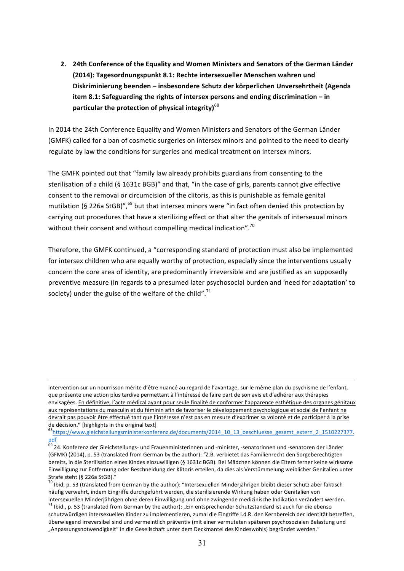2. 24th Conference of the Equality and Women Ministers and Senators of the German Länder (2014): Tagesordnungspunkt 8.1: Rechte intersexueller Menschen wahren und Diskriminierung beenden – insbesondere Schutz der körperlichen Unversehrtheit (Agenda **item 8.1: Safeguarding the rights of intersex persons and ending discrimination – in** particular the protection of physical integrity)<sup>68</sup>

In 2014 the 24th Conference Equality and Women Ministers and Senators of the German Länder (GMFK) called for a ban of cosmetic surgeries on intersex minors and pointed to the need to clearly regulate by law the conditions for surgeries and medical treatment on intersex minors.

The GMFK pointed out that "family law already prohibits guardians from consenting to the sterilisation of a child (§ 1631c BGB)" and that, "in the case of girls, parents cannot give effective consent to the removal or circumcision of the clitoris, as this is punishable as female genital mutilation (§ 226a StGB)",<sup>69</sup> but that intersex minors were "in fact often denied this protection by carrying out procedures that have a sterilizing effect or that alter the genitals of intersexual minors without their consent and without compelling medical indication".<sup>70</sup>

Therefore, the GMFK continued, a "corresponding standard of protection must also be implemented for intersex children who are equally worthy of protection, especially since the interventions usually concern the core area of identity, are predominantly irreversible and are justified as an supposedly preventive measure (in regards to a presumed later psychosocial burden and 'need for adaptation' to society) under the guise of the welfare of the child".<sup>71</sup>

<u>.</u>

pdf

intervention sur un nourrisson mérite d'être nuancé au regard de l'avantage, sur le même plan du psychisme de l'enfant, que présente une action plus tardive permettant à l'intéressé de faire part de son avis et d'adhérer aux thérapies envisagées. En définitive, l'acte médical ayant pour seule finalité de conformer l'apparence esthétique des organes génitaux aux représentations du masculin et du féminin afin de favoriser le développement psychologique et social de l'enfant ne devrait pas pouvoir être effectué tant que l'intéressé n'est pas en mesure d'exprimer sa volonté et de participer à la prise de décision." (highlights in the original text]<br><sup>68</sup>https://www.gleichstellungsministerkonferenz.de/documents/2014\_10\_13\_beschluesse\_gesamt\_extern\_2\_1510227377.

<sup>24.</sup> Konferenz der Gleichstellungs- und Frauenministerinnen und -minister, -senatorinnen und -senatoren der Länder (GFMK) (2014), p. 53 (translated from German by the author): "Z.B. verbietet das Familienrecht den Sorgeberechtigten bereits, in die Sterilisation eines Kindes einzuwilligen (§ 1631c BGB). Bei Mädchen können die Eltern ferner keine wirksame Einwilligung zur Entfernung oder Beschneidung der Klitoris erteilen, da dies als Verstümmelung weiblicher Genitalien unter Strafe steht (§ 226a StGB)."

 $^{70}$  Ibid, p. 53 (translated from German by the author): "Intersexuellen Minderjährigen bleibt dieser Schutz aber faktisch häufig verwehrt, indem Eingriffe durchgeführt werden, die sterilisierende Wirkung haben oder Genitalien von intersexuellen Minderjährigen ohne deren Einwilligung und ohne zwingende medizinische Indikation verändert werden.  $71$  Ibid., p. 53 (translated from German by the author): "Ein entsprechender Schutzstandard ist auch für die ebenso

schutzwürdigen intersexuellen Kinder zu implementieren, zumal die Eingriffe i.d.R. den Kernbereich der Identität betreffen, überwiegend irreversibel sind und vermeintlich präventiv (mit einer vermuteten späteren psychosozialen Belastung und "Anpassungsnotwendigkeit" in die Gesellschaft unter dem Deckmantel des Kindeswohls) begründet werden."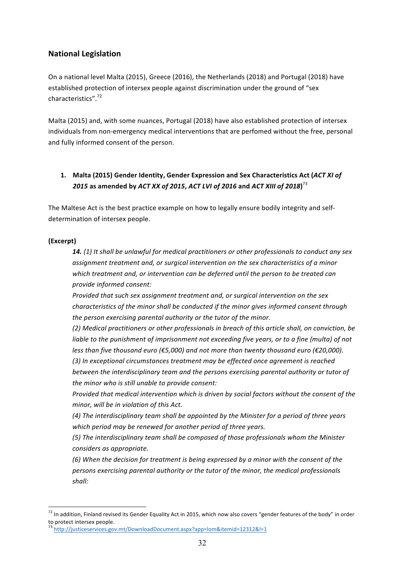# **National Legislation**

On a national level Malta (2015), Greece (2016), the Netherlands (2018) and Portugal (2018) have established protection of intersex people against discrimination under the ground of "sex characteristics".<sup>72</sup>

Malta (2015) and, with some nuances, Portugal (2018) have also established protection of intersex individuals from non-emergency medical interventions that are perfomed without the free, personal and fully informed consent of the person.

# 1. Malta (2015) Gender Identity, Gender Expression and Sex Characteristics Act (ACT XI of 2015 as amended by *ACT XX of 2015, ACT LVI of 2016* and *ACT XIII of 2018)<sup>73</sup>*

The Maltese Act is the best practice example on how to legally ensure bodily integrity and selfdetermination of intersex people.

## **(Excerpt)**

**14.** (1) It shall be unlawful for medical practitioners or other professionals to conduct any sex assignment treatment and, or surgical intervention on the sex characteristics of a minor which treatment and, or intervention can be deferred until the person to be treated can *provide informed consent:* 

*Provided that such sex assignment treatment and, or surgical intervention on the sex characteristics* of the minor shall be conducted if the minor gives informed consent through the person exercising parental authority or the tutor of the minor.

(2) Medical practitioners or other professionals in breach of this article shall, on conviction, be *liable to the punishment of imprisonment not exceeding five years, or to a fine (multa) of not less* than five thousand euro (€5,000) and not more than twenty thousand euro (€20,000).

(3) In exceptional circumstances treatment may be effected once agreement is reached *between the interdisciplinary team and the persons exercising parental authority or tutor of* the minor who is still unable to provide consent:

*Provided that medical intervention which is driven by social factors without the consent of the minor, will be in violation of this Act.* 

(4) The interdisciplinary team shall be appointed by the Minister for a period of three years which period may be renewed for another period of three years.

(5) The interdisciplinary team shall be composed of those professionals whom the Minister considers as appropriate.

(6) When the decision for treatment is being expressed by a minor with the consent of the persons exercising parental authority or the tutor of the minor, the medical professionals *shall:* 

 $72$  In addition, Finland revised its Gender Equality Act in 2015, which now also covers "gender features of the body" in order to protect intersex people.

<sup>73</sup> http://justiceservices.gov.mt/DownloadDocument.aspx?app=lom&itemid=12312&l=1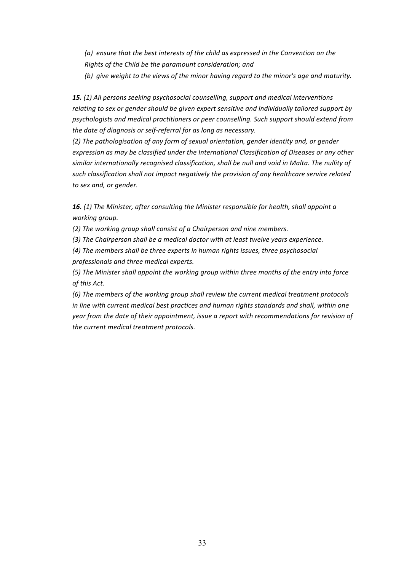(a) ensure that the best interests of the child as expressed in the Convention on the *Rights of the Child be the paramount consideration; and* 

*(b)* give weight to the views of the minor having regard to the minor's age and maturity.

**15.** (1) All persons seeking psychosocial counselling, support and medical interventions *relating to sex or gender should be given expert sensitive and individually tailored support by* psychologists and medical practitioners or peer counselling. Such support should extend from *the date of diagnosis or self-referral for as long as necessary.* 

(2) The pathologisation of any form of sexual orientation, gender identity and, or gender expression as may be classified under the International Classification of Diseases or any other similar internationally recognised classification, shall be null and void in Malta. The nullity of such classification shall not impact negatively the provision of any healthcare service related *to sex and, or gender.*

**16.** (1) The Minister, after consulting the Minister responsible for health, shall appoint a *working group.* 

(2) The working group shall consist of a Chairperson and nine members.

(3) The Chairperson shall be a medical doctor with at least twelve years experience.

(4) The members shall be three experts in human rights issues, three psychosocial *professionals and three medical experts.* 

(5) The Minister shall appoint the working group within three months of the entry into force of this Act.

(6) The members of the working group shall review the current medical treatment protocols *in* line with current medical best practices and human rights standards and shall, within one vear from the date of their appointment, issue a report with recommendations for revision of the current medical treatment protocols.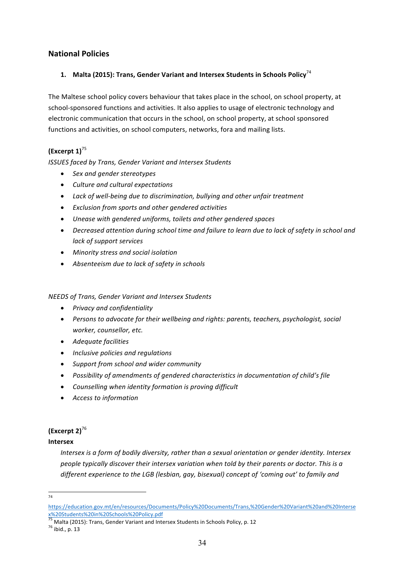# **National Policies**

# **1.** Malta (2015): Trans, Gender Variant and Intersex Students in Schools Policy<sup>74</sup>

The Maltese school policy covers behaviour that takes place in the school, on school property, at school-sponsored functions and activities. It also applies to usage of electronic technology and electronic communication that occurs in the school, on school property, at school sponsored functions and activities, on school computers, networks, fora and mailing lists.

# $\left(\text{Except 1}\right)^{75}$

*ISSUES faced by Trans, Gender Variant and Intersex Students* 

- *Sex and gender stereotypes*
- *Culture and cultural expectations*
- Lack of well-being due to discrimination, bullying and other unfair treatment
- *Exclusion from sports and other gendered activities*
- *Unease with gendered uniforms, toilets and other gendered spaces*
- Decreased attention during school time and failure to learn due to lack of safety in school and *lack of support services*
- *Minority stress and social isolation*
- Absenteeism due to lack of safety in schools

## *NEEDS of Trans, Gender Variant and Intersex Students*

- *Privacy and confidentiality*
- Persons to advocate for their wellbeing and rights: parents, teachers, psychologist, social *worker, counsellor, etc.*
- *Adequate facilities*
- *Inclusive policies and regulations*
- *Support from school and wider community*
- Possibility of amendments of *gendered characteristics* in documentation of child's file
- Counselling when identity formation is proving difficult
- **•** Access to information

# $(Kx)$ <sup>76</sup>

## **Intersex**

*Intersex* is a form of bodily diversity, rather than a sexual orientation or gender identity. Intersex *people typically discover their intersex variation when told by their parents or doctor. This is a* different experience to the LGB (lesbian, gay, bisexual) concept of 'coming out' to family and

74

https://education.gov.mt/en/resources/Documents/Policy%20Documents/Trans,%20Gender%20Variant%20and%20Interse x%20Students%20in%20Schools%20Policy.pdf

 $^{75}$  Malta (2015): Trans, Gender Variant and Intersex Students in Schools Policy, p. 12<br><sup>76</sup> ibid., p. 13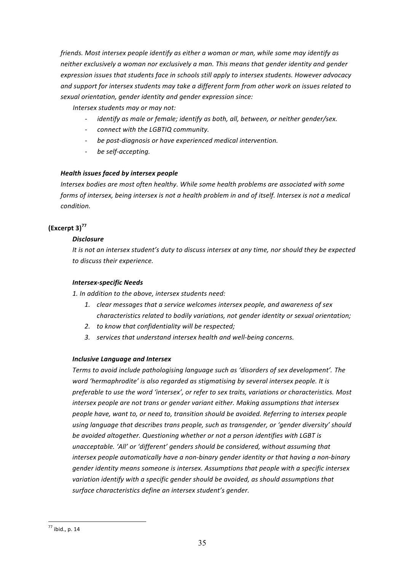*friends.* Most intersex people identify as either a woman or man, while some may identify as neither exclusively a woman nor exclusively a man. This means that gender identity and gender expression issues that students face in schools still apply to intersex students. However advocacy and support for intersex students may take a different form from other work on issues related to sexual orientation, gender identity and gender expression since:

*Intersex students may or may not:* 

- *identify* as male or female; identify as both, all, between, or neither gender/sex.
- connect with the LGBTIQ community.
- be post-diagnosis or have experienced medical intervention.
- be self-accepting.

## **Health issues faced by intersex people**

*Intersex bodies are most often healthy. While some health problems are associated with some forms* of intersex, being intersex is not a health problem in and of itself. Intersex is not a medical *condition.*

# **(Excerpt 3) 77**

## *Disclosure*

It is not an intersex student's duty to discuss intersex at any time, nor should they be expected *to discuss their experience.* 

## *Intersex-specific Needs*

1. In addition to the above, intersex students need:

- 1. *clear* messages that a service welcomes intersex people, and awareness of sex characteristics related to bodily variations, not gender identity or sexual orientation;
- 2. to know that confidentiality will be respected;
- 3. services that understand intersex health and well-being concerns.

## **Inclusive Language and Intersex**

*Terms* to avoid include pathologising language such as 'disorders of sex development'. The *word 'hermaphrodite' is also regarded as stigmatising by several intersex people. It is preferable to use the word 'intersex', or refer to sex traits, variations or characteristics. Most intersex people are not trans or gender variant either. Making assumptions that intersex people have, want to, or need to, transition should be avoided. Referring to intersex people* using language that describes trans people, such as transgender, or 'gender diversity' should be avoided altogether. Questioning whether or not a person identifies with LGBT is unacceptable. 'All' or 'different' genders should be considered, without assuming that *intersex people automatically have a non-binary gender identity or that having a non-binary* gender identity means someone is intersex. Assumptions that people with a specific intersex variation identify with a specific gender should be avoided, as should assumptions that surface characteristics define an intersex student's gender.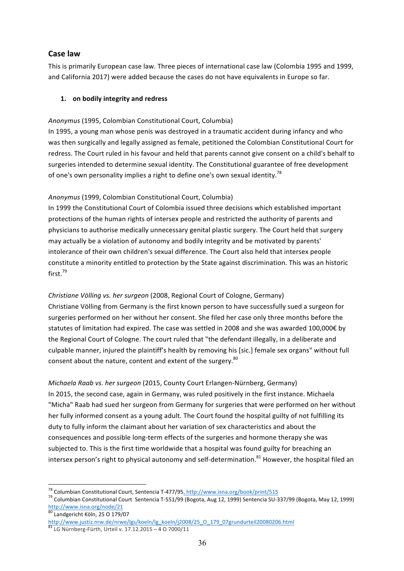# **Case law**

This is primarily European case law. Three pieces of international case law (Colombia 1995 and 1999, and California 2017) were added because the cases do not have equivalents in Europe so far.

## **1. on bodily integrity and redress**

## Anonymus (1995, Colombian Constitutional Court, Columbia)

In 1995, a young man whose penis was destroyed in a traumatic accident during infancy and who was then surgically and legally assigned as female, petitioned the Colombian Constitutional Court for redress. The Court ruled in his favour and held that parents cannot give consent on a child's behalf to surgeries intended to determine sexual identity. The Constitutional guarantee of free development of one's own personality implies a right to define one's own sexual identity.<sup>78</sup>

# *Anonymus* (1999, Colombian Constitutional Court, Columbia)

In 1999 the Constitutional Court of Colombia issued three decisions which established important protections of the human rights of intersex people and restricted the authority of parents and physicians to authorise medically unnecessary genital plastic surgery. The Court held that surgery may actually be a violation of autonomy and bodily integrity and be motivated by parents' intolerance of their own children's sexual difference. The Court also held that intersex people constitute a minority entitled to protection by the State against discrimination. This was an historic first.79

# *Christiane Völling vs. her surgeon* (2008, Regional Court of Cologne, Germany) Christiane Völling from Germany is the first known person to have successfully sued a surgeon for

surgeries performed on her without her consent. She filed her case only three months before the statutes of limitation had expired. The case was settled in 2008 and she was awarded 100,000€ by the Regional Court of Cologne. The court ruled that "the defendant illegally, in a deliberate and culpable manner, injured the plaintiff's health by removing his [sic.] female sex organs" without full consent about the nature, content and extent of the surgery.<sup>80</sup>

# *Michaela Raab vs. her surgeon* (2015, County Court Erlangen-Nürnberg, Germany) In 2015, the second case, again in Germany, was ruled positively in the first instance. Michaela "Micha" Raab had sued her surgeon from Germany for surgeries that were performed on her without her fully informed consent as a young adult. The Court found the hospital guilty of not fulfilling its duty to fully inform the claimant about her variation of sex characteristics and about the consequences and possible long-term effects of the surgeries and hormone therapy she was subjected to. This is the first time worldwide that a hospital was found guilty for breaching an intersex person's right to physical autonomy and self-determination. $81$  However, the hospital filed an

http://www.justiz.nrw.de/nrwe/lgs/koeln/lg\_koeln/j2008/25\_O\_179\_07grundurteil20080206.html

<sup>&</sup>lt;sup>78</sup> Columbian Constitutional Court, Sentencia T-477/95<u>, http://www.isna.org/book/print/515</u><br><sup>79</sup> Columbian Constitutional Court Sentencia T-551/99 (Bogota, Aug 12, 1999) Sentencia SU-337/99 (Bogota, May 12, 1999) http://www.isna.org/node/21 Landgericht Köln, 25 O 179/07

 $81$  LG Nürnberg-Fürth, Urteil v. 17.12.2015 – 4 O 7000/11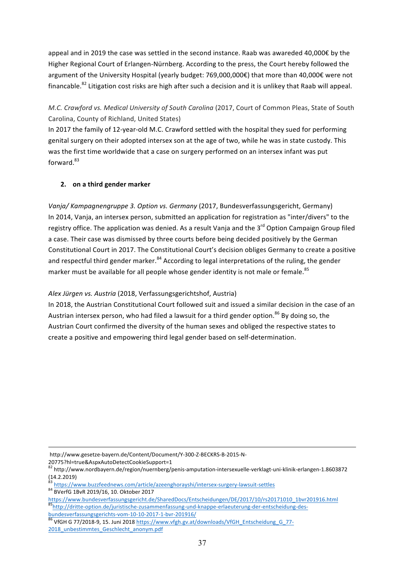appeal and in 2019 the case was settled in the second instance. Raab was awareded 40,000€ by the Higher Regional Court of Erlangen-Nürnberg. According to the press, the Court hereby followed the argument of the University Hospital (yearly budget: 769,000,000€) that more than 40,000€ were not financable.<sup>82</sup> Litigation cost risks are high after such a decision and it is unlikey that Raab will appeal.

*M.C. Crawford vs. Medical University of South Carolina* (2017, Court of Common Pleas, State of South Carolina, County of Richland, United States)

In 2017 the family of 12-year-old M.C. Crawford settled with the hospital they sued for performing genital surgery on their adopted intersex son at the age of two, while he was in state custody. This was the first time worldwide that a case on surgery performed on an intersex infant was put forward $83$ 

## **2. on a third gender marker**

Vanja/ Kampagnengruppe 3. Option vs. Germany (2017, Bundesverfassungsgericht, Germany) In 2014, Vanja, an intersex person, submitted an application for registration as "inter/divers" to the registry office. The application was denied. As a result Vanja and the 3<sup>rd</sup> Option Campaign Group filed a case. Their case was dismissed by three courts before being decided positively by the German Constitutional Court in 2017. The Constitutional Court's decision obliges Germany to create a positive and respectful third gender marker.<sup>84</sup> According to legal interpretations of the ruling, the gender marker must be available for all people whose gender identity is not male or female.<sup>85</sup>

## *Alex Jürgen vs. Austria* (2018, Verfassungsgerichtshof, Austria)

In 2018, the Austrian Constitutional Court followed suit and issued a similar decision in the case of an Austrian intersex person, who had filed a lawsuit for a third gender option.<sup>86</sup> By doing so. the Austrian Court confirmed the diversity of the human sexes and obliged the respective states to create a positive and empowering third legal gender based on self-determination.

http://www.gesetze-bayern.de/Content/Document/Y-300-Z-BECKRS-B-2015-N-

20775?hl=true&AspxAutoDetectCookieSupport=1

1

<sup>82</sup> http://www.nordbayern.de/region/nuernberg/penis-amputation-intersexuelle-verklagt-uni-klinik-erlangen-1.8603872 (14.2.2019)

<sup>83</sup> https://www.buzzfeednews.com/article/azeenghorayshi/intersex-surgery-lawsuit-settles 84<br>84 BVerfG 1BvR 2019/16, 10. Oktober 2017

https://www.bundesverfassungsgericht.de/SharedDocs/Entscheidungen/DE/2017/10/rs20171010\_1bvr201916.html <sup>85</sup>http://dritte-option.de/juristische-zusammenfassung-und-knappe-erlaeuterung-der-entscheidung-desbundesverfassungsgerichts-vom-10-10-2017-1-bvr-201916/<br>Bundesverfassungsgerichts-vom-10-10-2017-1-bvr-201916/<br><sup>86</sup> VfGH G 77/2018-9, 15. Juni 2018 https://www.vfgh.gv.at/downloads/VfGH\_Entscheidung\_G\_77-

<sup>2018</sup> unbestimmtes Geschlecht anonym.pdf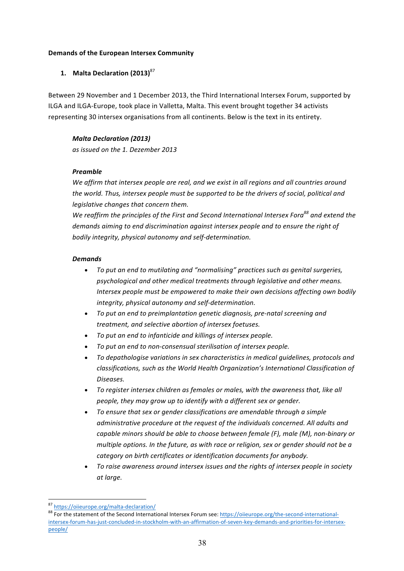## **Demands of the European Intersex Community**

# **1.** Malta Declaration (2013)<sup>87</sup>

Between 29 November and 1 December 2013, the Third International Intersex Forum, supported by ILGA and ILGA-Europe, took place in Valletta, Malta. This event brought together 34 activists representing 30 intersex organisations from all continents. Below is the text in its entirety.

## *Malta Declaration (2013)*

*as issued on the 1. Dezember 2013*

## *Preamble*

We affirm that intersex people are real, and we exist in all regions and all countries around the world. Thus, intersex people must be supported to be the drivers of social, political and *legislative* changes that concern them.

*We reaffirm the principles of the First and Second International Intersex Fora<sup>88</sup> and extend the* demands aiming to end discrimination against intersex people and to ensure the right of bodily integrity, physical autonomy and self-determination.

## *Demands*

- To put an end to mutilating and "normalising" practices such as genital surgeries, psychological and other medical treatments through legislative and other means. *Intersex people must be empowered to make their own decisions affecting own bodily* integrity, physical autonomy and self-determination.
- To put an end to preimplantation genetic diagnosis, pre-natal screening and *treatment, and selective abortion of intersex foetuses.*
- To put an end to infanticide and killings of intersex people.
- To put an end to non-consensual sterilisation of intersex people.
- To depathologise variations in sex characteristics in medical guidelines, protocols and *classifications, such as the World Health Organization's International Classification of Diseases.*
- To register intersex children as females or males, with the awareness that, like all *people, they may grow up to identify with a different sex or gender.*
- To ensure that sex or gender classifications are amendable through a simple *administrative procedure at the request of the individuals concerned. All adults and* capable minors should be able to choose between female (F), male (M), non-binary or *multiple options. In the future, as with race or religion, sex or gender should not be a category* on birth certificates or identification documents for anybody.
- To raise awareness around intersex issues and the rights of intersex people in society *at large.*

<sup>87</sup> https://oiieurope.org/malta-declaration/<br><sup>88</sup> For the statement of the Second International Intersex Forum see: https://oiieurope.org/the-second-internationalintersex-forum-has-just-concluded-in-stockholm-with-an-affirmation-of-seven-key-demands-and-priorities-for-intersexpeople/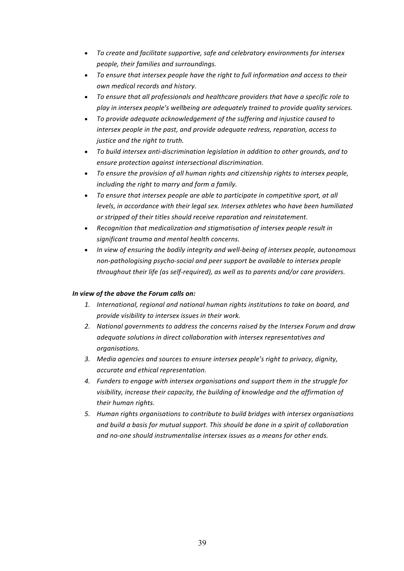- To create and facilitate supportive, safe and celebratory environments for intersex *people, their families and surroundings.*
- To ensure that intersex people have the right to full information and access to their *own medical records and history.*
- To ensure that all professionals and healthcare providers that have a specific role to *play in intersex people's wellbeing are adequately trained to provide quality services.*
- To provide adequate acknowledgement of the suffering and injustice caused to *intersex people in the past, and provide adequate redress, reparation, access to justice and the right to truth.*
- To build intersex anti-discrimination legislation in addition to other grounds, and to *ensure protection against intersectional discrimination.*
- To ensure the provision of all human rights and citizenship rights to intersex people, *including the right to marry and form a family.*
- To ensure that intersex people are able to participate in competitive sport, at all *levels, in accordance with their legal sex. Intersex athletes who have been humiliated* or stripped of their titles should receive reparation and reinstatement.
- Recognition that medicalization and stigmatisation of intersex people result in *significant trauma and mental health concerns.*
- In view of ensuring the bodily integrity and well-being of intersex people, autonomous non-pathologising psycho-social and peer support be available to intersex people *throughout their life (as self-required), as well as to parents and/or care providers.*

## *In view of the above the Forum calls on:*

- 1. International, regional and national human rights institutions to take on board, and *provide visibility to intersex issues in their work.*
- 2. National governments to address the concerns raised by the Intersex Forum and draw adequate solutions in direct collaboration with intersex representatives and *organisations.*
- 3. Media agencies and sources to ensure intersex people's right to privacy, dignity, *accurate and ethical representation.*
- 4. Funders to engage with intersex organisations and support them in the struggle for visibility, increase their capacity, the building of knowledge and the affirmation of *their human rights.*
- 5. Human rights organisations to contribute to build bridges with intersex organisations and build a basis for mutual support. This should be done in a spirit of collaboration and no-one should instrumentalise intersex issues as a means for other ends.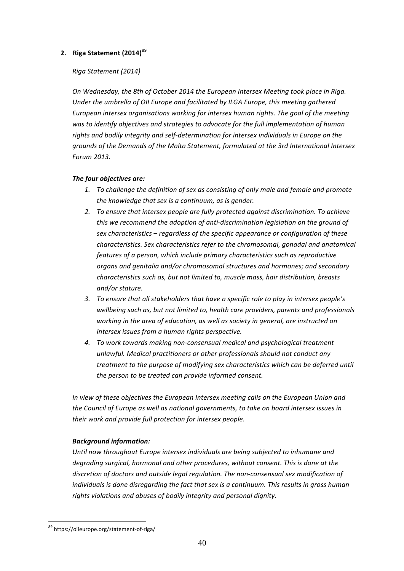# **2.** Riga Statement (2014)<sup>89</sup>

## *Riga Statement (2014)*

*On Wednesday, the 8th of October 2014 the European Intersex Meeting took place in Riga.* Under the umbrella of OII Europe and facilitated by ILGA Europe, this meeting gathered European intersex organisations working for intersex human rights. The goal of the meeting was to identify objectives and strategies to advocate for the full implementation of human rights and bodily integrity and self-determination for intersex individuals in Europe on the *grounds of the Demands of the Malta Statement, formulated at the 3rd International Intersex Forum 2013.*

## *The four obiectives are:*

- 1. To challenge the definition of sex as consisting of only male and female and promote *the knowledge that sex is a continuum, as is gender.*
- 2. To ensure that intersex people are fully protected against discrimination. To achieve *this* we recommend the adoption of anti-discrimination leaislation on the around of sex characteristics – *regardless of the specific appearance or configuration of these characteristics. Sex characteristics refer to the chromosomal, gonadal and anatomical features of a person, which include primary characteristics such as reproductive* organs and genitalia and/or chromosomal structures and hormones; and secondary characteristics such as, but not limited to, muscle mass, hair distribution, breasts *and/or stature.*
- 3. To ensure that all stakeholders that have a specific role to play in intersex people's wellbeing such as, but not limited to, health care providers, parents and professionals *working in the area of education, as well as society in general, are instructed on intersex issues from a human rights perspective.*
- 4. To work towards making non-consensual medical and psychological treatment *unlawful. Medical practitioners or other professionals should not conduct any* treatment to the purpose of modifying sex characteristics which can be deferred until *the person to be treated can provide informed consent.*

*In view of these objectives the European Intersex meeting calls on the European Union and* the Council of Europe as well as national governments, to take on board intersex issues in their work and provide full protection for intersex people.

## **Background information:**

Until now throughout Europe intersex individuals are being subjected to inhumane and degrading surgical, hormonal and other procedures, without consent. This is done at the discretion of doctors and outside legal regulation. The non-consensual sex modification of *individuals is done disregarding the fact that sex is a continuum. This results in gross human* rights violations and abuses of bodily integrity and personal dignity.

<sup>89</sup> https://oiieurope.org/statement-of-riga/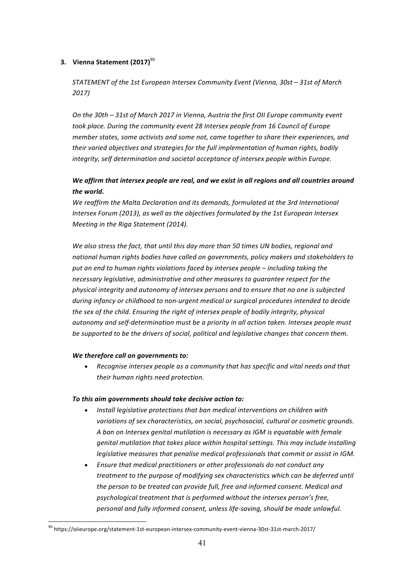# **3. Vienna Statement (2017)**<sup>90</sup>

*STATEMENT of the 1st European Intersex Community Event (Vienna, 30st – 31st of March 2017)*

On the 30th – 31st of March 2017 in Vienna, Austria the first OII Europe community event took place. During the community event 28 Intersex people from 16 Council of Europe *member states, some activists and some not, came together to share their experiences, and* their varied objectives and strategies for the full implementation of human rights, bodily *integrity, self determination and societal acceptance of intersex people within Europe.* 

# We affirm that intersex people are real, and we exist in all regions and all countries around *the world.*

We reaffirm the Malta Declaration and its demands, formulated at the 3rd International *Intersex Forum (2013), as well as the objectives formulated by the 1st European Intersex Meeting in the Riga Statement (2014).* 

We also stress the fact, that until this day more than 50 times UN bodies, regional and national human rights bodies have called on governments, policy makers and stakeholders to put an end to human rights violations faced by intersex people – including taking the *necessary legislative, administrative and other measures to guarantee respect for the* physical integrity and autonomy of intersex persons and to ensure that no one is subjected during infancy or childhood to non-urgent medical or surgical procedures intended to decide the sex of the child. Ensuring the right of intersex people of bodily integrity, physical autonomy and self-determination must be a priority in all action taken. Intersex people must be supported to be the drivers of social, political and legislative changes that concern them.

## We therefore call on governments to:

Recognise intersex people as a community that has specific and vital needs and that *their human rights need protection.*

#### To this aim governments should take decisive action to:

- Install legislative protections that ban medical interventions on children with variations of sex characteristics, on social, psychosocial, cultural or cosmetic grounds. A ban on Intersex genital mutilation is necessary as IGM is equatable with female *genital mutilation that takes place within hospital settings. This may include installing legislative measures that penalise medical professionals that commit or assist in IGM.*
- *Ensure that medical practitioners or other professionals do not conduct any* treatment to the purpose of modifying sex characteristics which can be deferred until the person to be treated can provide full, free and informed consent. Medical and psychological treatment that is performed without the intersex person's free, personal and fully informed consent, unless life-saving, should be made unlawful.

 $^{90}$  https://oiieurope.org/statement-1st-european-intersex-community-event-vienna-30st-31st-march-2017/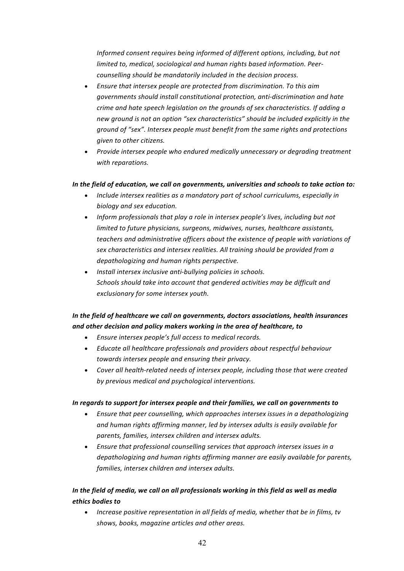*Informed consent requires being informed of different options, including, but not* limited to, medical, sociological and human rights based information. Peercounselling should be mandatorily included in the decision process.

- Ensure that intersex people are protected from discrimination. To this aim governments should install constitutional protection, anti-discrimination and hate *crime and hate speech legislation on the grounds of sex characteristics. If adding a* new ground is not an option "sex characteristics" should be included explicitly in the ground of "sex". Intersex people must benefit from the same rights and protections *given to other citizens.*
- Provide intersex people who endured medically unnecessary or degrading treatment *with reparations.*

## In the field of education, we call on governments, universities and schools to take action to:

- Include intersex realities as a mandatory part of school curriculums, especially in *biology and sex education.*
- Inform professionals that play a role in intersex people's lives, including but not *limited to future physicians, surgeons, midwives, nurses, healthcare assistants, teachers* and administrative officers about the existence of people with variations of sex characteristics and intersex realities. All training should be provided from a *depathologizing and human rights perspective.*
- Install intersex inclusive anti-bullying policies in schools. Schools should take into account that gendered activities may be difficult and *exclusionary for some intersex youth.*

# *In the field of healthcare we call on governments, doctors associations, health insurances* and other decision and policy makers working in the area of healthcare, to

- Ensure intersex people's full access to medical records.
- Educate all healthcare professionals and providers about respectful behaviour towards intersex people and ensuring their privacy.
- Cover all health-related needs of intersex people, including those that were created by previous medical and psychological interventions.

## In regards to support for intersex people and their families, we call on governments to

- Ensure that peer counselling, which approaches intersex issues in a depathologizing and human rights affirming manner, led by intersex adults is easily available for *parents, families, intersex children and intersex adults.*
- Ensure that professional counselling services that approach intersex issues in a depathologizing and human rights affirming manner are easily available for parents, families, intersex children and intersex adults.

# In the field of media, we call on all professionals working in this field as well as media *ethics bodies to*

*Increase positive representation in all fields of media, whether that be in films, tv* shows, books, magazine articles and other areas.